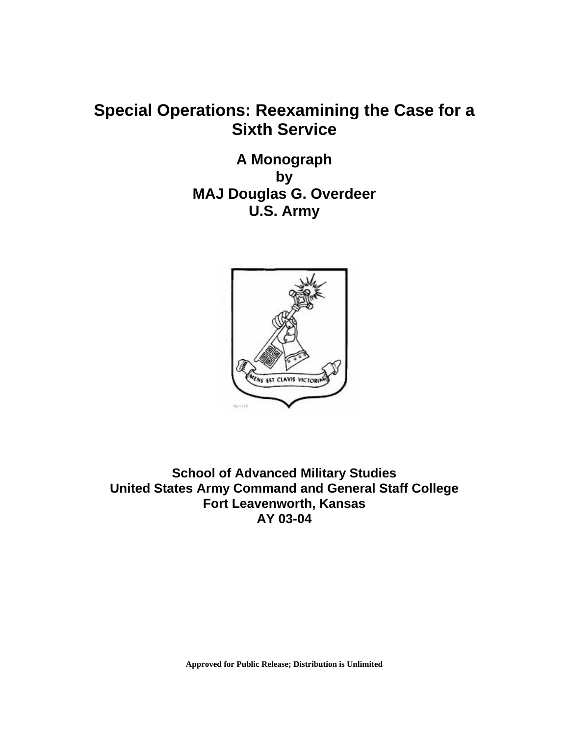## **Special Operations: Reexamining the Case for a Sixth Service**

**A Monograph by MAJ Douglas G. Overdeer U.S. Army** 



**School of Advanced Military Studies United States Army Command and General Staff College Fort Leavenworth, Kansas AY 03-04**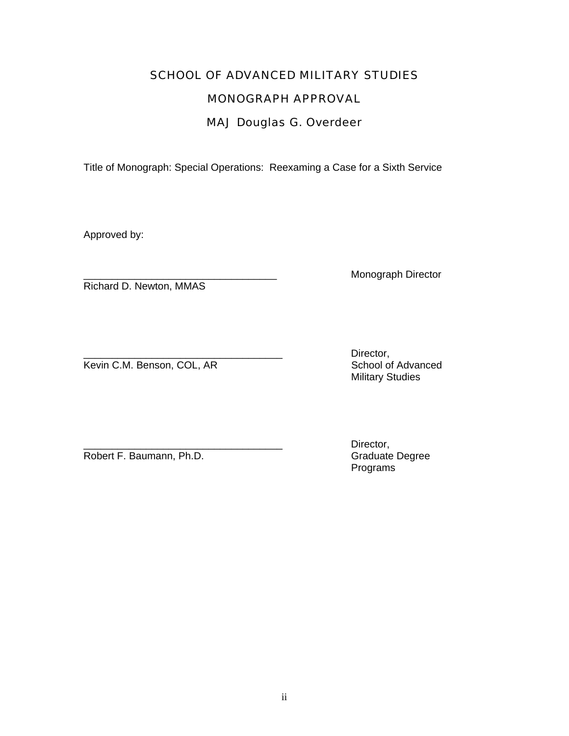# SCHOOL OF ADVANCED MILITARY STUDIES MONOGRAPH APPROVAL

## MAJ Douglas G. Overdeer

Title of Monograph: Special Operations: Reexaming a Case for a Sixth Service

Approved by:

Richard D. Newton, MMAS

Monograph Director

Kevin C.M. Benson, COL, AR

Director,<br>School of Advanced Military Studies

Robert F. Baumann, Ph.D.

Director,<br>Graduate Degree Programs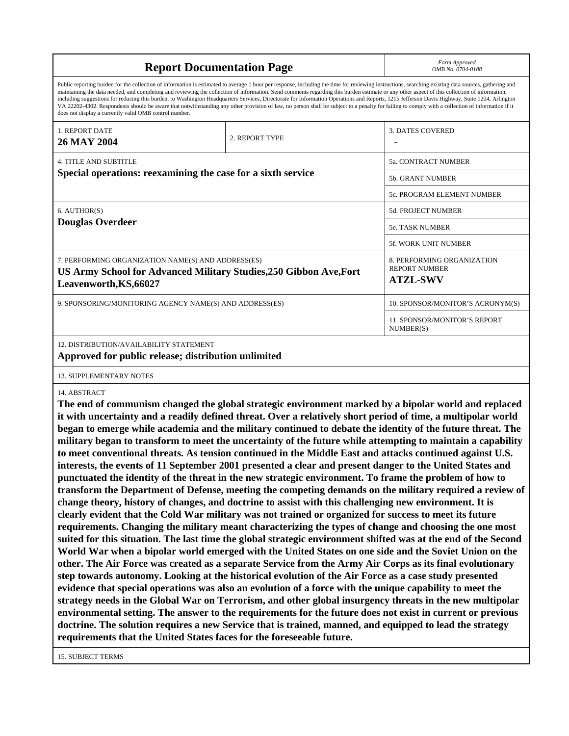| <b>Report Documentation Page</b>                                                                                                                                                                                                                                                                                                                                                                                                                                                                                                                                                                                                                                                                                                                                                                                                                                   | Form Approved<br>OMB No. 0704-0188 |                                                                       |  |  |
|--------------------------------------------------------------------------------------------------------------------------------------------------------------------------------------------------------------------------------------------------------------------------------------------------------------------------------------------------------------------------------------------------------------------------------------------------------------------------------------------------------------------------------------------------------------------------------------------------------------------------------------------------------------------------------------------------------------------------------------------------------------------------------------------------------------------------------------------------------------------|------------------------------------|-----------------------------------------------------------------------|--|--|
| Public reporting burden for the collection of information is estimated to average 1 hour per response, including the time for reviewing instructions, searching existing data sources, gathering and<br>maintaining the data needed, and completing and reviewing the collection of information. Send comments regarding this burden estimate or any other aspect of this collection of information,<br>including suggestions for reducing this burden, to Washington Headquarters Services, Directorate for Information Operations and Reports, 1215 Jefferson Davis Highway, Suite 1204, Arlington<br>VA 22202-4302. Respondents should be aware that notwithstanding any other provision of law, no person shall be subject to a penalty for failing to comply with a collection of information if it<br>does not display a currently valid OMB control number. |                                    |                                                                       |  |  |
| 1. REPORT DATE<br>26 MAY 2004                                                                                                                                                                                                                                                                                                                                                                                                                                                                                                                                                                                                                                                                                                                                                                                                                                      | 2. REPORT TYPE                     | <b>3. DATES COVERED</b>                                               |  |  |
| 4. TITLE AND SUBTITLE<br>Special operations: reexamining the case for a sixth service                                                                                                                                                                                                                                                                                                                                                                                                                                                                                                                                                                                                                                                                                                                                                                              |                                    | 5a. CONTRACT NUMBER                                                   |  |  |
|                                                                                                                                                                                                                                                                                                                                                                                                                                                                                                                                                                                                                                                                                                                                                                                                                                                                    |                                    | 5b. GRANT NUMBER                                                      |  |  |
|                                                                                                                                                                                                                                                                                                                                                                                                                                                                                                                                                                                                                                                                                                                                                                                                                                                                    |                                    | 5c. PROGRAM ELEMENT NUMBER                                            |  |  |
| 6. AUTHOR(S)<br><b>Douglas Overdeer</b>                                                                                                                                                                                                                                                                                                                                                                                                                                                                                                                                                                                                                                                                                                                                                                                                                            |                                    | 5d. PROJECT NUMBER                                                    |  |  |
|                                                                                                                                                                                                                                                                                                                                                                                                                                                                                                                                                                                                                                                                                                                                                                                                                                                                    |                                    | 5e. TASK NUMBER                                                       |  |  |
|                                                                                                                                                                                                                                                                                                                                                                                                                                                                                                                                                                                                                                                                                                                                                                                                                                                                    |                                    | <b>5f. WORK UNIT NUMBER</b>                                           |  |  |
| 7. PERFORMING ORGANIZATION NAME(S) AND ADDRESS(ES)<br>US Army School for Advanced Military Studies, 250 Gibbon Ave, Fort<br>Leavenworth, KS, 66027                                                                                                                                                                                                                                                                                                                                                                                                                                                                                                                                                                                                                                                                                                                 |                                    | 8. PERFORMING ORGANIZATION<br><b>REPORT NUMBER</b><br><b>ATZL-SWV</b> |  |  |
| 9. SPONSORING/MONITORING AGENCY NAME(S) AND ADDRESS(ES)                                                                                                                                                                                                                                                                                                                                                                                                                                                                                                                                                                                                                                                                                                                                                                                                            |                                    | 10. SPONSOR/MONITOR'S ACRONYM(S)                                      |  |  |
|                                                                                                                                                                                                                                                                                                                                                                                                                                                                                                                                                                                                                                                                                                                                                                                                                                                                    |                                    | 11. SPONSOR/MONITOR'S REPORT<br>NUMBER(S)                             |  |  |
| 12. DISTRIBUTION/AVAILABILITY STATEMENT<br>Approved for public release; distribution unlimited                                                                                                                                                                                                                                                                                                                                                                                                                                                                                                                                                                                                                                                                                                                                                                     |                                    |                                                                       |  |  |
| 13. SUPPLEMENTARY NOTES                                                                                                                                                                                                                                                                                                                                                                                                                                                                                                                                                                                                                                                                                                                                                                                                                                            |                                    |                                                                       |  |  |
| 14. ABSTRACT<br>The end of communism changed the global strategic environment marked by a bipolar world and replaced<br>it with uncertainty and a readily defined threat. Over a relatively short period of time, a multipolar world<br>began to emerge while academia and the military continued to debate the identity of the future threat. The<br>military began to transform to meet the uncertainty of the future while attempting to maintain a capability<br>to meet conventional threats. As tension continued in the Middle East and attacks continued against U.S.                                                                                                                                                                                                                                                                                      |                                    |                                                                       |  |  |

**to meet conventional threats. As tension continued in the Middle East and attacks continued against U.S. interests, the events of 11 September 2001 presented a clear and present danger to the United States and punctuated the identity of the threat in the new strategic environment. To frame the problem of how to transform the Department of Defense, meeting the competing demands on the military required a review of change theory, history of changes, and doctrine to assist with this challenging new environment. It is clearly evident that the Cold War military was not trained or organized for success to meet its future requirements. Changing the military meant characterizing the types of change and choosing the one most suited for this situation. The last time the global strategic environment shifted was at the end of the Second World War when a bipolar world emerged with the United States on one side and the Soviet Union on the other. The Air Force was created as a separate Service from the Army Air Corps as its final evolutionary step towards autonomy. Looking at the historical evolution of the Air Force as a case study presented evidence that special operations was also an evolution of a force with the unique capability to meet the strategy needs in the Global War on Terrorism, and other global insurgency threats in the new multipolar environmental setting. The answer to the requirements for the future does not exist in current or previous doctrine. The solution requires a new Service that is trained, manned, and equipped to lead the strategy requirements that the United States faces for the foreseeable future.** 

15. SUBJECT TERMS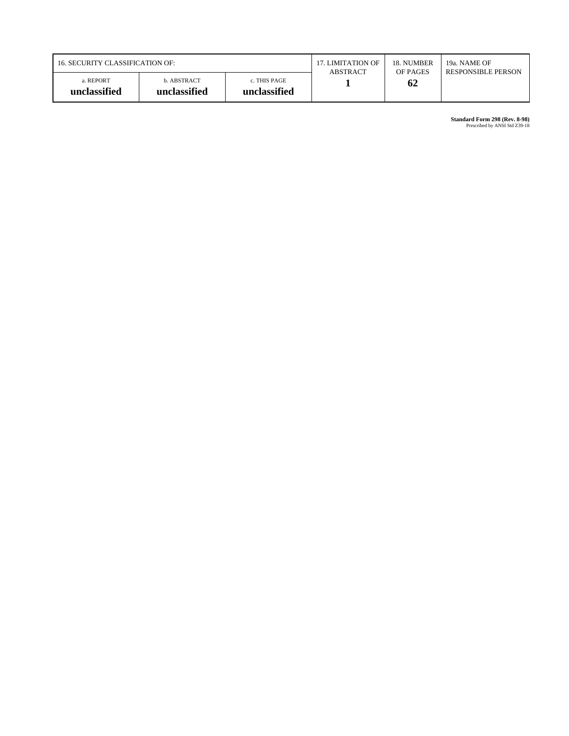| 16. SECURITY CLASSIFICATION OF: |                             | 17. LIMITATION OF            | 18. NUMBER | 19a. NAME OF              |  |
|---------------------------------|-----------------------------|------------------------------|------------|---------------------------|--|
|                                 |                             | <b>ABSTRACT</b>              | OF PAGES   | <b>RESPONSIBLE PERSON</b> |  |
| a. REPORT<br>unclassified       | b. ABSTRACT<br>unclassified | c. THIS PAGE<br>unclassified |            | 62                        |  |

**Standard Form 298 (Rev. 8-98)**<br>Prescribed by ANSI Std Z39-18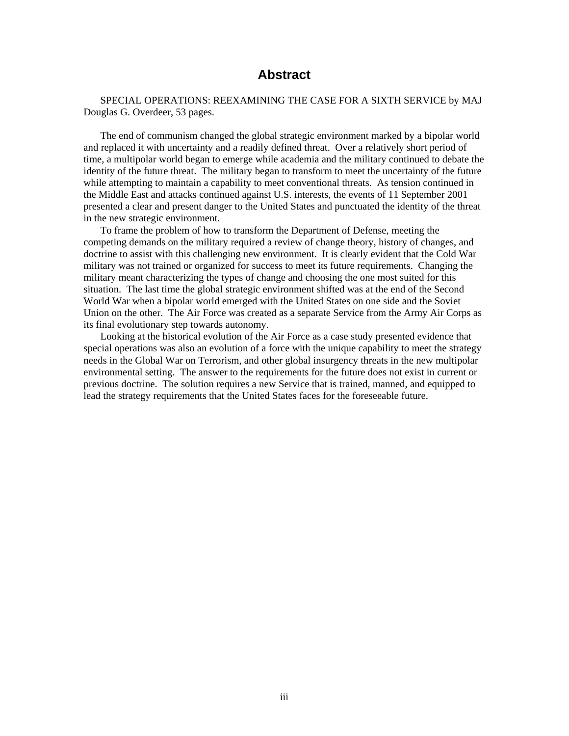### **Abstract**

SPECIAL OPERATIONS: REEXAMINING THE CASE FOR A SIXTH SERVICE by MAJ Douglas G. Overdeer, 53 pages.

The end of communism changed the global strategic environment marked by a bipolar world and replaced it with uncertainty and a readily defined threat. Over a relatively short period of time, a multipolar world began to emerge while academia and the military continued to debate the identity of the future threat. The military began to transform to meet the uncertainty of the future while attempting to maintain a capability to meet conventional threats. As tension continued in the Middle East and attacks continued against U.S. interests, the events of 11 September 2001 presented a clear and present danger to the United States and punctuated the identity of the threat in the new strategic environment.

To frame the problem of how to transform the Department of Defense, meeting the competing demands on the military required a review of change theory, history of changes, and doctrine to assist with this challenging new environment. It is clearly evident that the Cold War military was not trained or organized for success to meet its future requirements. Changing the military meant characterizing the types of change and choosing the one most suited for this situation. The last time the global strategic environment shifted was at the end of the Second World War when a bipolar world emerged with the United States on one side and the Soviet Union on the other. The Air Force was created as a separate Service from the Army Air Corps as its final evolutionary step towards autonomy.

Looking at the historical evolution of the Air Force as a case study presented evidence that special operations was also an evolution of a force with the unique capability to meet the strategy needs in the Global War on Terrorism, and other global insurgency threats in the new multipolar environmental setting. The answer to the requirements for the future does not exist in current or previous doctrine. The solution requires a new Service that is trained, manned, and equipped to lead the strategy requirements that the United States faces for the foreseeable future.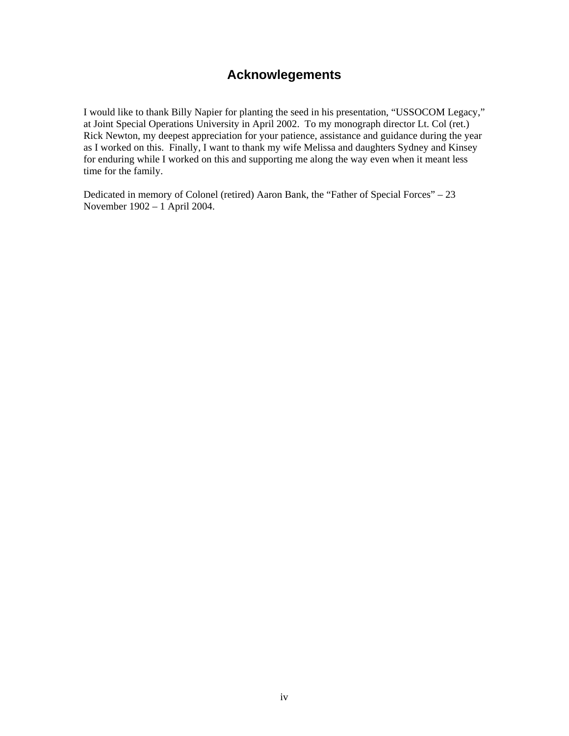## **Acknowlegements**

I would like to thank Billy Napier for planting the seed in his presentation, "USSOCOM Legacy," at Joint Special Operations University in April 2002. To my monograph director Lt. Col (ret.) Rick Newton, my deepest appreciation for your patience, assistance and guidance during the year as I worked on this. Finally, I want to thank my wife Melissa and daughters Sydney and Kinsey for enduring while I worked on this and supporting me along the way even when it meant less time for the family.

Dedicated in memory of Colonel (retired) Aaron Bank, the "Father of Special Forces" – 23 November 1902 – 1 April 2004.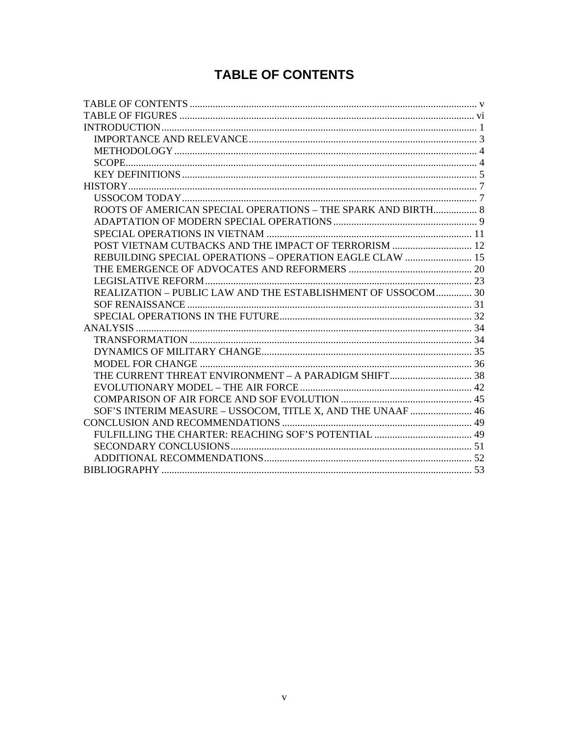## **TABLE OF CONTENTS**

<span id="page-6-0"></span>

| ROOTS OF AMERICAN SPECIAL OPERATIONS - THE SPARK AND BIRTH 8 |  |
|--------------------------------------------------------------|--|
|                                                              |  |
|                                                              |  |
|                                                              |  |
| REBUILDING SPECIAL OPERATIONS - OPERATION EAGLE CLAW  15     |  |
|                                                              |  |
|                                                              |  |
| REALIZATION - PUBLIC LAW AND THE ESTABLISHMENT OF USSOCOM 30 |  |
|                                                              |  |
|                                                              |  |
|                                                              |  |
|                                                              |  |
|                                                              |  |
|                                                              |  |
|                                                              |  |
|                                                              |  |
|                                                              |  |
| SOF'S INTERIM MEASURE - USSOCOM, TITLE X, AND THE UNAAF  46  |  |
|                                                              |  |
|                                                              |  |
|                                                              |  |
|                                                              |  |
|                                                              |  |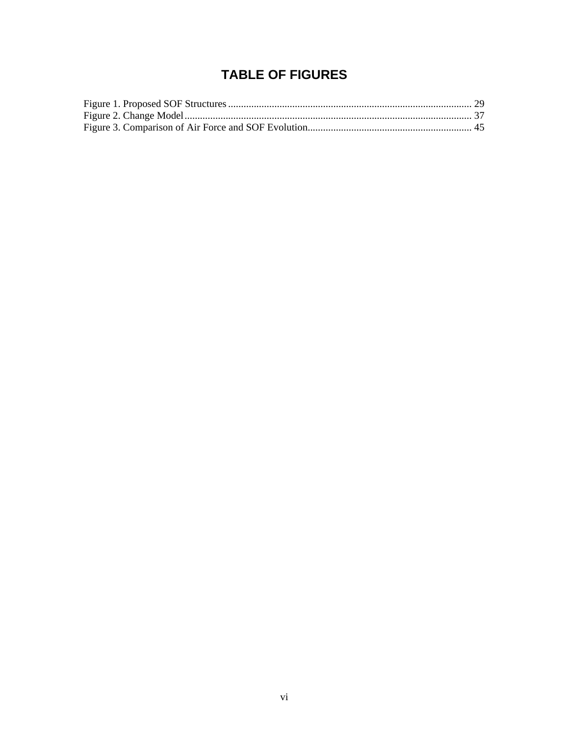## **TABLE OF FIGURES**

<span id="page-7-0"></span>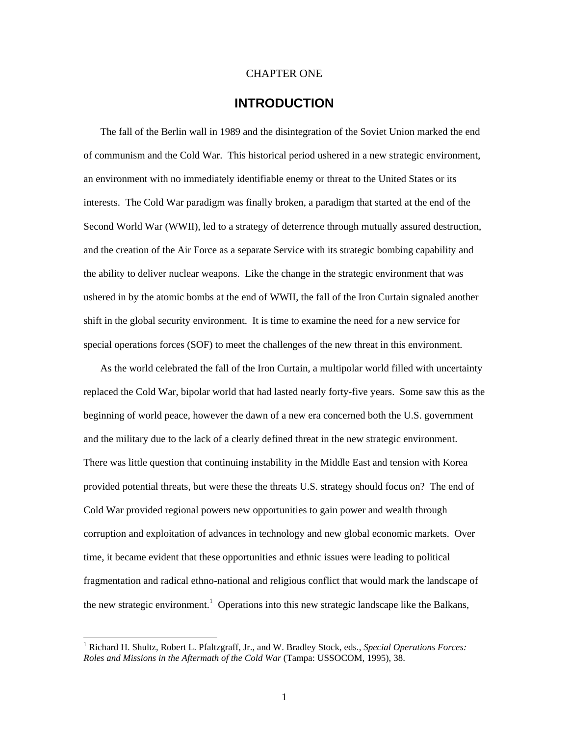#### CHAPTER ONE

## **INTRODUCTION**

<span id="page-8-0"></span>The fall of the Berlin wall in 1989 and the disintegration of the Soviet Union marked the end of communism and the Cold War. This historical period ushered in a new strategic environment, an environment with no immediately identifiable enemy or threat to the United States or its interests. The Cold War paradigm was finally broken, a paradigm that started at the end of the Second World War (WWII), led to a strategy of deterrence through mutually assured destruction, and the creation of the Air Force as a separate Service with its strategic bombing capability and the ability to deliver nuclear weapons. Like the change in the strategic environment that was ushered in by the atomic bombs at the end of WWII, the fall of the Iron Curtain signaled another shift in the global security environment. It is time to examine the need for a new service for special operations forces (SOF) to meet the challenges of the new threat in this environment.

As the world celebrated the fall of the Iron Curtain, a multipolar world filled with uncertainty replaced the Cold War, bipolar world that had lasted nearly forty-five years. Some saw this as the beginning of world peace, however the dawn of a new era concerned both the U.S. government and the military due to the lack of a clearly defined threat in the new strategic environment. There was little question that continuing instability in the Middle East and tension with Korea provided potential threats, but were these the threats U.S. strategy should focus on? The end of Cold War provided regional powers new opportunities to gain power and wealth through corruption and exploitation of advances in technology and new global economic markets. Over time, it became evident that these opportunities and ethnic issues were leading to political fragmentation and radical ethno-national and religious conflict that would mark the landscape of thenew strategic environment.<sup>1</sup> Operations into this new strategic landscape like the Balkans,

<span id="page-8-1"></span> $\frac{1}{1}$  Richard H. Shultz, Robert L. Pfaltzgraff, Jr., and W. Bradley Stock, eds., *Special Operations Forces: Roles and Missions in the Aftermath of the Cold War* (Tampa: USSOCOM, 1995), 38.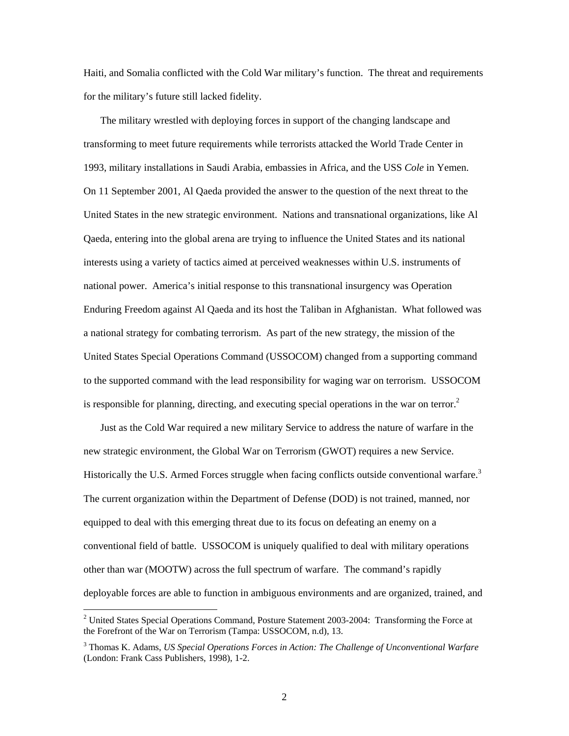Haiti, and Somalia conflicted with the Cold War military's function. The threat and requirements for the military's future still lacked fidelity.

The military wrestled with deploying forces in support of the changing landscape and transforming to meet future requirements while terrorists attacked the World Trade Center in 1993, military installations in Saudi Arabia, embassies in Africa, and the USS *Cole* in Yemen. On 11 September 2001, Al Qaeda provided the answer to the question of the next threat to the United States in the new strategic environment. Nations and transnational organizations, like Al Qaeda, entering into the global arena are trying to influence the United States and its national interests using a variety of tactics aimed at perceived weaknesses within U.S. instruments of national power. America's initial response to this transnational insurgency was Operation Enduring Freedom against Al Qaeda and its host the Taliban in Afghanistan. What followed was a national strategy for combating terrorism. As part of the new strategy, the mission of the United States Special Operations Command (USSOCOM) changed from a supporting command to the supported command with the lead responsibility for waging war on terrorism. USSOCOM is responsible for planning, directing, and executing special operations in the war on terror.<sup>2</sup>

Just as the Cold War required a new military Service to address the nature of warfare in the new strategic environment, the Global War on Terrorism (GWOT) requires a new Service. Historically the U.S. Armed Forces struggle when facing conflicts outside conventional warfare.<sup>[3](#page-9-1)</sup> The current organization within the Department of Defense (DOD) is not trained, manned, nor equipped to deal with this emerging threat due to its focus on defeating an enemy on a conventional field of battle. USSOCOM is uniquely qualified to deal with military operations other than war (MOOTW) across the full spectrum of warfare. The command's rapidly deployable forces are able to function in ambiguous environments and are organized, trained, and

<span id="page-9-0"></span> $\frac{1}{2}$ <sup>2</sup> United States Special Operations Command, Posture Statement 2003-2004: Transforming the Force at the Forefront of the War on Terrorism (Tampa: USSOCOM, n.d), 13.

<span id="page-9-1"></span><sup>3</sup> Thomas K. Adams, *US Special Operations Forces in Action: The Challenge of Unconventional Warfare* (London: Frank Cass Publishers, 1998), 1-2.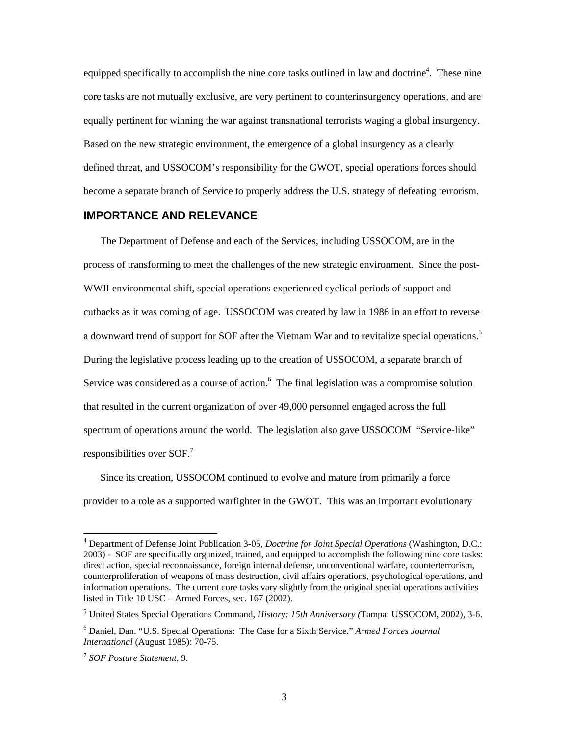<span id="page-10-0"></span>equipped specifically to accomplish the nine core tasks outlined in law and doctrine<sup>4</sup>. These nine core tasks are not mutually exclusive, are very pertinent to counterinsurgency operations, and are equally pertinent for winning the war against transnational terrorists waging a global insurgency. Based on the new strategic environment, the emergence of a global insurgency as a clearly defined threat, and USSOCOM's responsibility for the GWOT, special operations forces should become a separate branch of Service to properly address the U.S. strategy of defeating terrorism.

#### **IMPORTANCE AND RELEVANCE**

The Department of Defense and each of the Services, including USSOCOM, are in the process of transforming to meet the challenges of the new strategic environment. Since the post-WWII environmental shift, special operations experienced cyclical periods of support and cutbacks as it was coming of age. USSOCOM was created by law in 1986 in an effort to reverse a downward trend of support for SOF after the Vietnam War and to revitalize special operations.<sup>5</sup> During the legislative process leading up to the creation of USSOCOM, a separate branch of Servicewas considered as a course of action. $<sup>6</sup>$  The final legislation was a compromise solution</sup> that resulted in the current organization of over 49,000 personnel engaged across the full spectrum of operations around the world. The legislation also gave USSOCOM "Service-like" responsibilitiesover SOF.<sup>7</sup>

Since its creation, USSOCOM continued to evolve and mature from primarily a force provider to a role as a supported warfighter in the GWOT. This was an important evolutionary

<span id="page-10-1"></span> $\frac{1}{4}$  Department of Defense Joint Publication 3-05, *Doctrine for Joint Special Operations* (Washington, D.C.: 2003) - SOF are specifically organized, trained, and equipped to accomplish the following nine core tasks: direct action, special reconnaissance, foreign internal defense, unconventional warfare, counterterrorism, counterproliferation of weapons of mass destruction, civil affairs operations, psychological operations, and information operations. The current core tasks vary slightly from the original special operations activities listed in Title 10 USC – Armed Forces, sec. 167 (2002).

<span id="page-10-2"></span><sup>5</sup> United States Special Operations Command, *History: 15th Anniversary (*Tampa: USSOCOM, 2002), 3-6.

<span id="page-10-3"></span><sup>6</sup> Daniel, Dan. "U.S. Special Operations: The Case for a Sixth Service." *Armed Forces Journal International* (August 1985): 70-75.

<span id="page-10-4"></span><sup>7</sup> *SOF Posture Statement*, 9.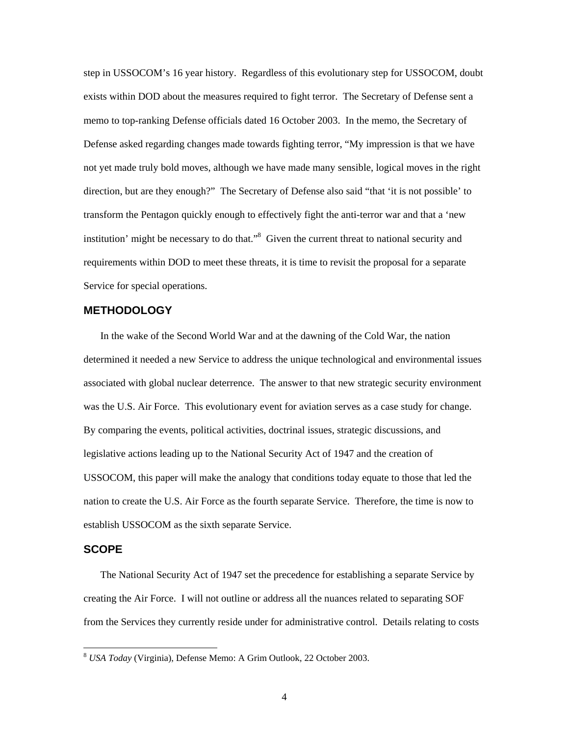<span id="page-11-0"></span>step in USSOCOM's 16 year history. Regardless of this evolutionary step for USSOCOM, doubt exists within DOD about the measures required to fight terror. The Secretary of Defense sent a memo to top-ranking Defense officials dated 16 October 2003. In the memo, the Secretary of Defense asked regarding changes made towards fighting terror, "My impression is that we have not yet made truly bold moves, although we have made many sensible, logical moves in the right direction, but are they enough?" The Secretary of Defense also said "that 'it is not possible' to transform the Pentagon quickly enough to effectively fight the anti-terror war and that a 'new institution' might be necessary to do that."<sup>[8](#page-11-1)</sup> Given the current threat to national security and requirements within DOD to meet these threats, it is time to revisit the proposal for a separate Service for special operations.

#### **METHODOLOGY**

In the wake of the Second World War and at the dawning of the Cold War, the nation determined it needed a new Service to address the unique technological and environmental issues associated with global nuclear deterrence. The answer to that new strategic security environment was the U.S. Air Force. This evolutionary event for aviation serves as a case study for change. By comparing the events, political activities, doctrinal issues, strategic discussions, and legislative actions leading up to the National Security Act of 1947 and the creation of USSOCOM, this paper will make the analogy that conditions today equate to those that led the nation to create the U.S. Air Force as the fourth separate Service. Therefore, the time is now to establish USSOCOM as the sixth separate Service.

#### **SCOPE**

The National Security Act of 1947 set the precedence for establishing a separate Service by creating the Air Force. I will not outline or address all the nuances related to separating SOF from the Services they currently reside under for administrative control. Details relating to costs

<span id="page-11-1"></span> <sup>8</sup> *USA Today* (Virginia), Defense Memo: A Grim Outlook, 22 October 2003.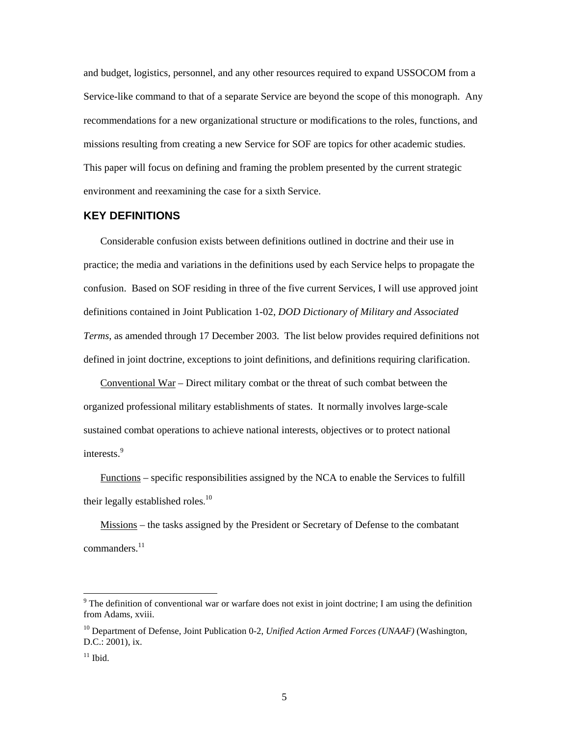<span id="page-12-0"></span>and budget, logistics, personnel, and any other resources required to expand USSOCOM from a Service-like command to that of a separate Service are beyond the scope of this monograph. Any recommendations for a new organizational structure or modifications to the roles, functions, and missions resulting from creating a new Service for SOF are topics for other academic studies. This paper will focus on defining and framing the problem presented by the current strategic environment and reexamining the case for a sixth Service.

#### **KEY DEFINITIONS**

Considerable confusion exists between definitions outlined in doctrine and their use in practice; the media and variations in the definitions used by each Service helps to propagate the confusion. Based on SOF residing in three of the five current Services, I will use approved joint definitions contained in Joint Publication 1-02, *DOD Dictionary of Military and Associated Terms*, as amended through 17 December 2003. The list below provides required definitions not defined in joint doctrine, exceptions to joint definitions, and definitions requiring clarification.

Conventional War – Direct military combat or the threat of such combat between the organized professional military establishments of states. It normally involves large-scale sustained combat operations to achieve national interests, objectives or to protect national interests.<sup>[9](#page-12-1)</sup>

Functions – specific responsibilities assigned by the NCA to enable the Services to fulfill their legally established roles.<sup>[10](#page-12-2)</sup>

Missions – the tasks assigned by the President or Secretary of Defense to the combatant commanders. [11](#page-12-3)

<span id="page-12-1"></span><sup>-&</sup>lt;br>9  $9$  The definition of conventional war or warfare does not exist in joint doctrine; I am using the definition from Adams, xviii.

<span id="page-12-2"></span><sup>10</sup> Department of Defense, Joint Publication 0-2, *Unified Action Armed Forces (UNAAF)* (Washington, D.C.: 2001), ix.

<span id="page-12-3"></span> $11$  Ibid.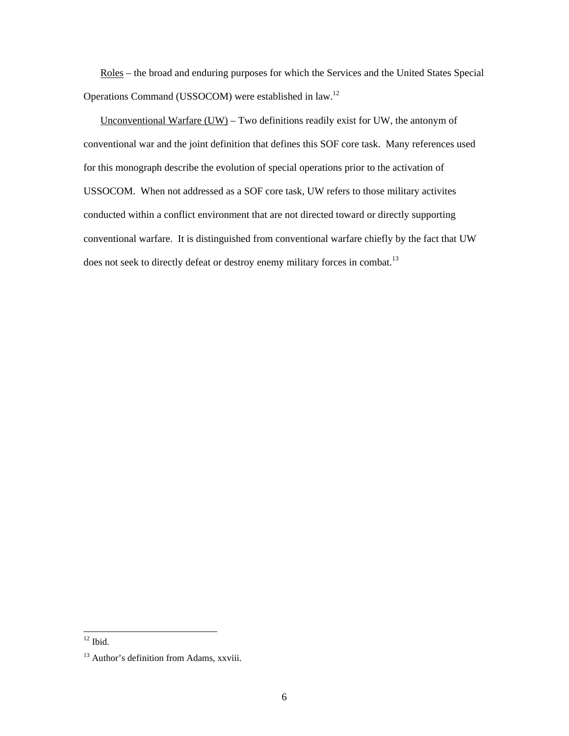Roles – the broad and enduring purposes for which the Services and the United States Special Operations Command (USSOCOM) were established in law.[12](#page-13-0)

Unconventional Warfare  $(UW)$  – Two definitions readily exist for UW, the antonym of conventional war and the joint definition that defines this SOF core task. Many references used for this monograph describe the evolution of special operations prior to the activation of USSOCOM. When not addressed as a SOF core task, UW refers to those military activites conducted within a conflict environment that are not directed toward or directly supporting conventional warfare. It is distinguished from conventional warfare chiefly by the fact that UW does not seek to directly defeat or destroy enemy military forces in combat.<sup>13</sup>

<span id="page-13-0"></span> $12$  Ibid.

<span id="page-13-1"></span><sup>&</sup>lt;sup>13</sup> Author's definition from Adams, xxviii.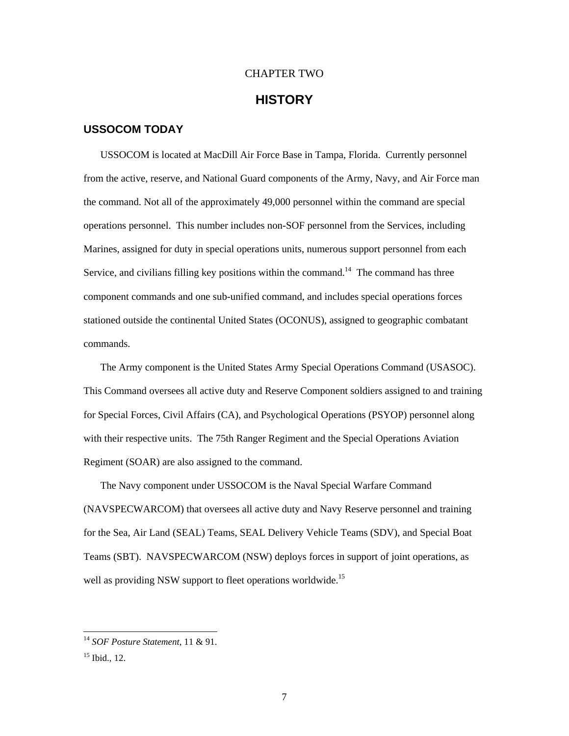## CHAPTER TWO

## **HISTORY**

#### <span id="page-14-0"></span>**USSOCOM TODAY**

USSOCOM is located at MacDill Air Force Base in Tampa, Florida. Currently personnel from the active, reserve, and National Guard components of the Army, Navy, and Air Force man the command. Not all of the approximately 49,000 personnel within the command are special operations personnel. This number includes non-SOF personnel from the Services, including Marines, assigned for duty in special operations units, numerous support personnel from each Service, and civilians filling key positions within the command[.14](#page-14-1)The command has three component commands and one sub-unified command, and includes special operations forces stationed outside the continental United States (OCONUS), assigned to geographic combatant commands.

The Army component is the United States Army Special Operations Command (USASOC). This Command oversees all active duty and Reserve Component soldiers assigned to and training for Special Forces, Civil Affairs (CA), and Psychological Operations (PSYOP) personnel along with their respective units. The 75th Ranger Regiment and the Special Operations Aviation Regiment (SOAR) are also assigned to the command.

The Navy component under USSOCOM is the Naval Special Warfare Command (NAVSPECWARCOM) that oversees all active duty and Navy Reserve personnel and training for the Sea, Air Land (SEAL) Teams, SEAL Delivery Vehicle Teams (SDV), and Special Boat Teams (SBT). NAVSPECWARCOM (NSW) deploys forces in support of joint operations, as well as providing NSW support to fleet operations worldwide.<sup>[15](#page-14-2)</sup>

<span id="page-14-1"></span> <sup>14</sup> *SOF Posture Statement*, 11 & 91.

<span id="page-14-2"></span> $15$  Ibid., 12.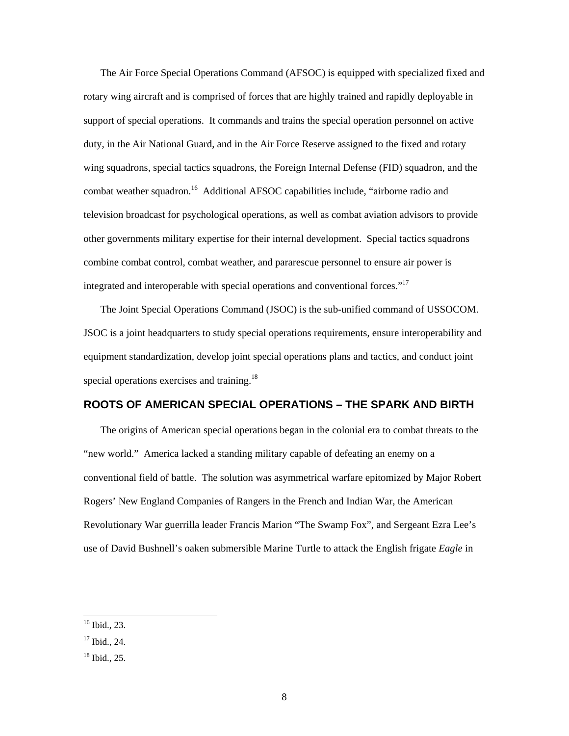<span id="page-15-0"></span>The Air Force Special Operations Command (AFSOC) is equipped with specialized fixed and rotary wing aircraft and is comprised of forces that are highly trained and rapidly deployable in support of special operations. It commands and trains the special operation personnel on active duty, in the Air National Guard, and in the Air Force Reserve assigned to the fixed and rotary wing squadrons, special tactics squadrons, the Foreign Internal Defense (FID) squadron, and the combat weather squadron.<sup>16</sup> Additional AFSOC capabilities include, "airborne radio and television broadcast for psychological operations, as well as combat aviation advisors to provide other governments military expertise for their internal development. Special tactics squadrons combine combat control, combat weather, and pararescue personnel to ensure air power is integrated and interoperable with special operations and conventional forces.["17](#page-15-2)

The Joint Special Operations Command (JSOC) is the sub-unified command of USSOCOM. JSOC is a joint headquarters to study special operations requirements, ensure interoperability and equipment standardization, develop joint special operations plans and tactics, and conduct joint special operations exercises and training.<sup>[18](#page-15-3)</sup>

#### **ROOTS OF AMERICAN SPECIAL OPERATIONS – THE SPARK AND BIRTH**

The origins of American special operations began in the colonial era to combat threats to the "new world." America lacked a standing military capable of defeating an enemy on a conventional field of battle. The solution was asymmetrical warfare epitomized by Major Robert Rogers' New England Companies of Rangers in the French and Indian War, the American Revolutionary War guerrilla leader Francis Marion "The Swamp Fox", and Sergeant Ezra Lee's use of David Bushnell's oaken submersible Marine Turtle to attack the English frigate *Eagle* in

<span id="page-15-1"></span> <sup>16</sup> Ibid., 23.

<span id="page-15-2"></span> $17$  Ibid., 24.

<span id="page-15-3"></span><sup>18</sup> Ibid., 25.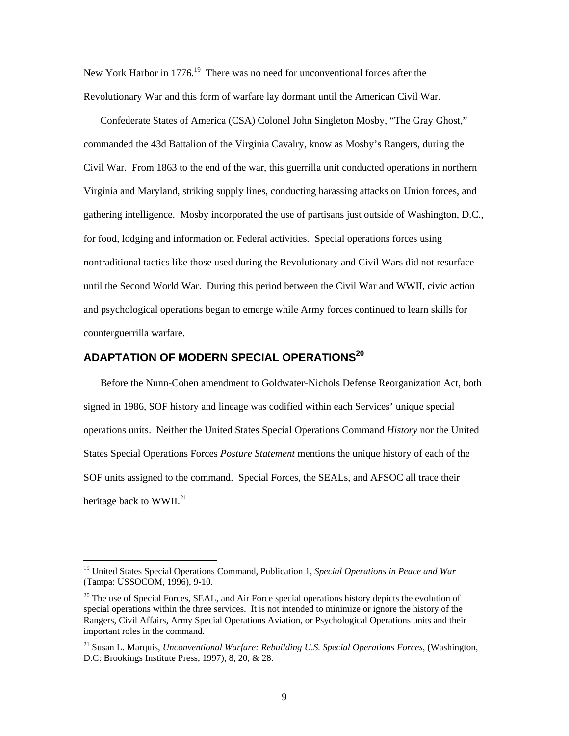<span id="page-16-0"></span>New York Harbor in  $1776$ <sup>19</sup>. There was no need for unconventional forces after the Revolutionary War and this form of warfare lay dormant until the American Civil War.

Confederate States of America (CSA) Colonel John Singleton Mosby, "The Gray Ghost," commanded the 43d Battalion of the Virginia Cavalry, know as Mosby's Rangers, during the Civil War. From 1863 to the end of the war, this guerrilla unit conducted operations in northern Virginia and Maryland, striking supply lines, conducting harassing attacks on Union forces, and gathering intelligence. Mosby incorporated the use of partisans just outside of Washington, D.C., for food, lodging and information on Federal activities. Special operations forces using nontraditional tactics like those used during the Revolutionary and Civil Wars did not resurface until the Second World War. During this period between the Civil War and WWII, civic action and psychological operations began to emerge while Army forces continued to learn skills for counterguerrilla warfare.

## **ADAPTATION OF MODERN SPECIAL OPERATION[S20](#page-16-2)**

Before the Nunn-Cohen amendment to Goldwater-Nichols Defense Reorganization Act, both signed in 1986, SOF history and lineage was codified within each Services' unique special operations units. Neither the United States Special Operations Command *History* nor the United States Special Operations Forces *Posture Statement* mentions the unique history of each of the SOF units assigned to the command. Special Forces, the SEALs, and AFSOC all trace their heritage back to WWII. $^{21}$  $^{21}$  $^{21}$ 

<span id="page-16-1"></span> <sup>19</sup> United States Special Operations Command, Publication 1, *Special Operations in Peace and War* (Tampa: USSOCOM, 1996), 9-10.

<span id="page-16-2"></span> $20$  The use of Special Forces, SEAL, and Air Force special operations history depicts the evolution of special operations within the three services. It is not intended to minimize or ignore the history of the Rangers, Civil Affairs, Army Special Operations Aviation, or Psychological Operations units and their important roles in the command.

<span id="page-16-3"></span><sup>21</sup> Susan L. Marquis, *Unconventional Warfare: Rebuilding U.S. Special Operations Forces*, (Washington, D.C: Brookings Institute Press, 1997), 8, 20, & 28.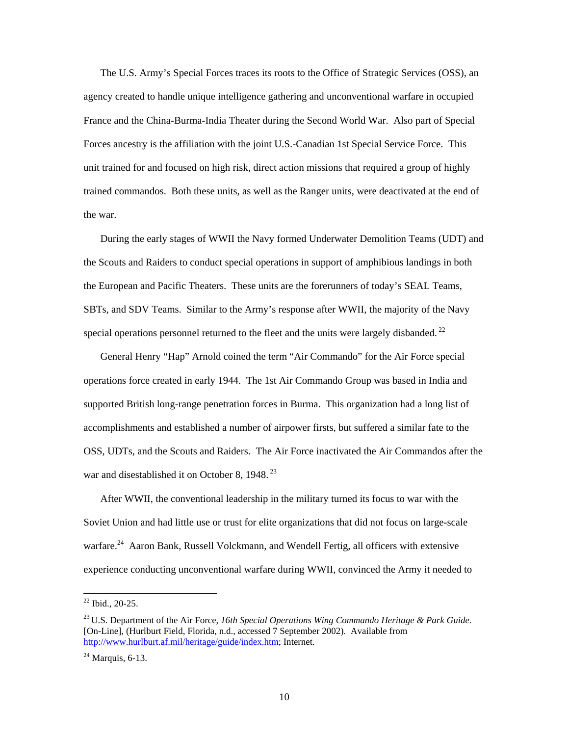The U.S. Army's Special Forces traces its roots to the Office of Strategic Services (OSS), an agency created to handle unique intelligence gathering and unconventional warfare in occupied France and the China-Burma-India Theater during the Second World War. Also part of Special Forces ancestry is the affiliation with the joint U.S.-Canadian 1st Special Service Force. This unit trained for and focused on high risk, direct action missions that required a group of highly trained commandos. Both these units, as well as the Ranger units, were deactivated at the end of the war.

During the early stages of WWII the Navy formed Underwater Demolition Teams (UDT) and the Scouts and Raiders to conduct special operations in support of amphibious landings in both the European and Pacific Theaters. These units are the forerunners of today's SEAL Teams, SBTs, and SDV Teams. Similar to the Army's response after WWII, the majority of the Navy special operations personnel returned to the fleet and the units were largely disbanded.<sup>22</sup>

General Henry "Hap" Arnold coined the term "Air Commando" for the Air Force special operations force created in early 1944. The 1st Air Commando Group was based in India and supported British long-range penetration forces in Burma. This organization had a long list of accomplishments and established a number of airpower firsts, but suffered a similar fate to the OSS, UDTs, and the Scouts and Raiders. The Air Force inactivated the Air Commandos after the war and disestablished it on October 8, 1948.<sup>23</sup>

After WWII, the conventional leadership in the military turned its focus to war with the Soviet Union and had little use or trust for elite organizations that did not focus on large-scale warfare.<sup>24</sup> Aaron Bank, Russell Volckmann, and Wendell Fertig, all officers with extensive experience conducting unconventional warfare during WWII, convinced the Army it needed to

<span id="page-17-0"></span> $22$  Ibid., 20-25.

<span id="page-17-1"></span><sup>23</sup> U.S. Department of the Air Force, *16th Special Operations Wing Commando Heritage & Park Guide.*  [On-Line], (Hurlburt Field, Florida, n.d., accessed 7 September 2002). Available from [http://www.hurlburt.af.mil/heritage/guide/index.htm;](http://www.hurlburt.af.mil/heritage/guide/index.htm) Internet.

<span id="page-17-2"></span> $24$  Marquis, 6-13.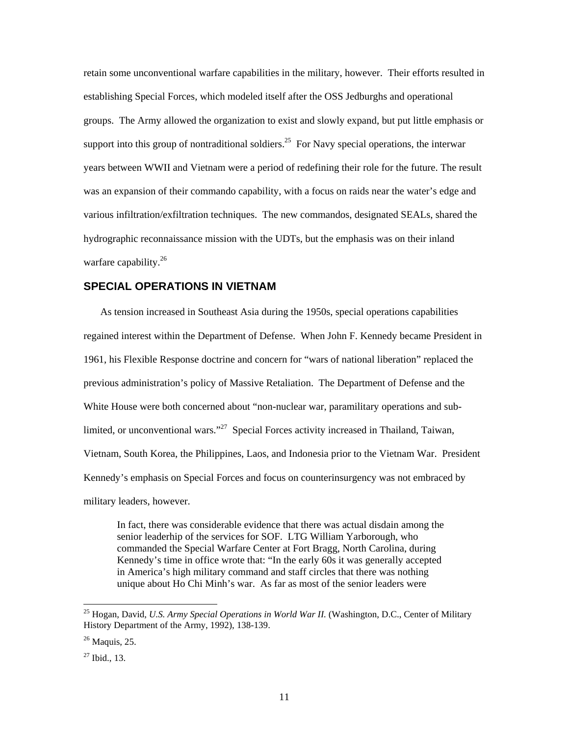<span id="page-18-0"></span>retain some unconventional warfare capabilities in the military, however. Their efforts resulted in establishing Special Forces, which modeled itself after the OSS Jedburghs and operational groups. The Army allowed the organization to exist and slowly expand, but put little emphasis or support into this group of nontraditional soldiers.<sup>25</sup> For Navy special operations, the interwar years between WWII and Vietnam were a period of redefining their role for the future. The result was an expansion of their commando capability, with a focus on raids near the water's edge and various infiltration/exfiltration techniques. The new commandos, designated SEALs, shared the hydrographic reconnaissance mission with the UDTs, but the emphasis was on their inland warfare capability.<sup>[26](#page-18-2)</sup>

#### **SPECIAL OPERATIONS IN VIETNAM**

As tension increased in Southeast Asia during the 1950s, special operations capabilities regained interest within the Department of Defense. When John F. Kennedy became President in 1961, his Flexible Response doctrine and concern for "wars of national liberation" replaced the previous administration's policy of Massive Retaliation. The Department of Defense and the White House were both concerned about "non-nuclear war, paramilitary operations and sublimited, or unconventional wars."<sup>27</sup> Special Forces activity increased in Thailand, Taiwan, Vietnam, South Korea, the Philippines, Laos, and Indonesia prior to the Vietnam War. President Kennedy's emphasis on Special Forces and focus on counterinsurgency was not embraced by military leaders, however.

In fact, there was considerable evidence that there was actual disdain among the senior leaderhip of the services for SOF. LTG William Yarborough, who commanded the Special Warfare Center at Fort Bragg, North Carolina, during Kennedy's time in office wrote that: "In the early 60s it was generally accepted in America's high military command and staff circles that there was nothing unique about Ho Chi Minh's war. As far as most of the senior leaders were

<span id="page-18-1"></span> <sup>25</sup> Hogan, David, *U.S. Army Special Operations in World War II.* (Washington, D.C., Center of Military History Department of the Army, 1992), 138-139.

<span id="page-18-2"></span> $26$  Maquis, 25.

<span id="page-18-3"></span> $^{27}$  Ibid., 13.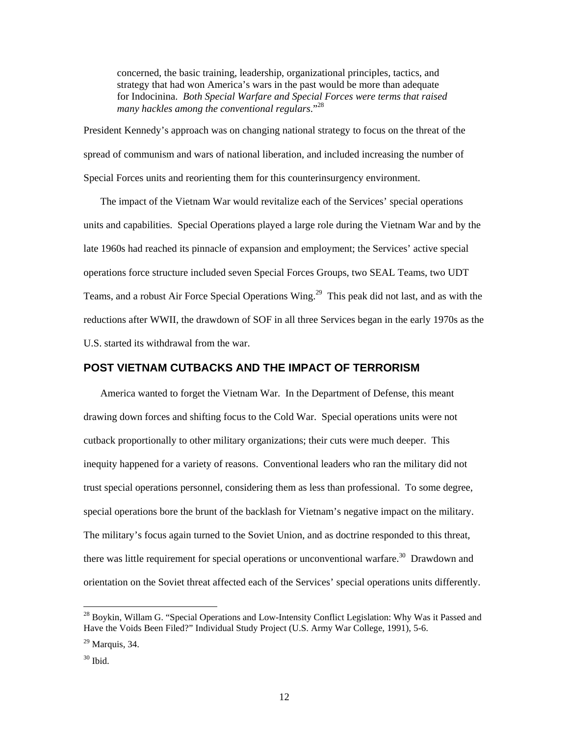<span id="page-19-0"></span>concerned, the basic training, leadership, organizational principles, tactics, and strategy that had won America's wars in the past would be more than adequate for Indocinina. *Both Special Warfare and Special Forces were terms that raised many hackles among the conventional regulars*."[28](#page-19-1)

President Kennedy's approach was on changing national strategy to focus on the threat of the spread of communism and wars of national liberation, and included increasing the number of Special Forces units and reorienting them for this counterinsurgency environment.

The impact of the Vietnam War would revitalize each of the Services' special operations units and capabilities. Special Operations played a large role during the Vietnam War and by the late 1960s had reached its pinnacle of expansion and employment; the Services' active special operations force structure included seven Special Forces Groups, two SEAL Teams, two UDT Teams, and a robust Air Force Special Operations Wing.<sup>29</sup> This peak did not last, and as with the reductions after WWII, the drawdown of SOF in all three Services began in the early 1970s as the U.S. started its withdrawal from the war.

#### **POST VIETNAM CUTBACKS AND THE IMPACT OF TERRORISM**

America wanted to forget the Vietnam War. In the Department of Defense, this meant drawing down forces and shifting focus to the Cold War. Special operations units were not cutback proportionally to other military organizations; their cuts were much deeper. This inequity happened for a variety of reasons. Conventional leaders who ran the military did not trust special operations personnel, considering them as less than professional. To some degree, special operations bore the brunt of the backlash for Vietnam's negative impact on the military. The military's focus again turned to the Soviet Union, and as doctrine responded to this threat, there was little requirement for special operations or unconventional warfare.<sup>30</sup> Drawdown and orientation on the Soviet threat affected each of the Services' special operations units differently.

<span id="page-19-1"></span><sup>&</sup>lt;sup>28</sup> Boykin, Willam G. "Special Operations and Low-Intensity Conflict Legislation: Why Was it Passed and Have the Voids Been Filed?" Individual Study Project (U.S. Army War College, 1991), 5-6.

<span id="page-19-2"></span> $29$  Marquis, 34.

<span id="page-19-3"></span> $30$  Ibid.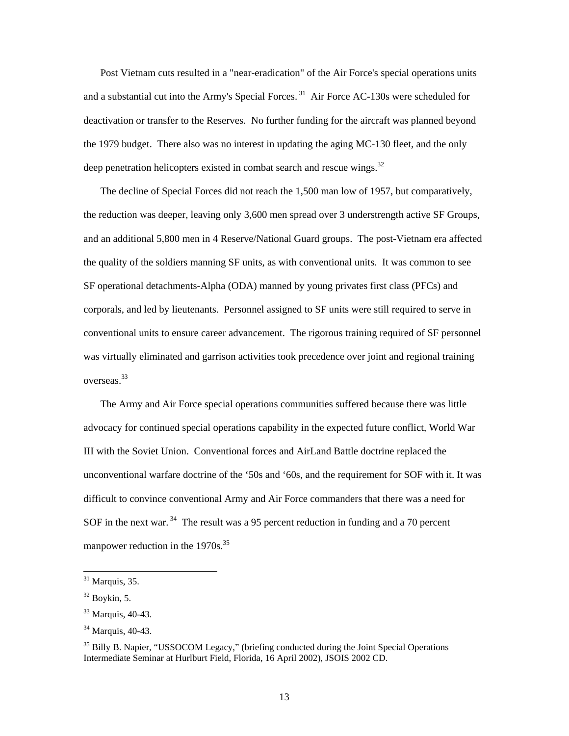Post Vietnam cuts resulted in a "near-eradication" of the Air Force's special operations units and a substantial cut into the Army's Special Forces.<sup>31</sup> Air Force AC-130s were scheduled for deactivation or transfer to the Reserves. No further funding for the aircraft was planned beyond the 1979 budget. There also was no interest in updating the aging MC-130 fleet, and the only deep penetration helicopters existed in combat search and rescue wings. $32$ 

The decline of Special Forces did not reach the 1,500 man low of 1957, but comparatively, the reduction was deeper, leaving only 3,600 men spread over 3 understrength active SF Groups, and an additional 5,800 men in 4 Reserve/National Guard groups. The post-Vietnam era affected the quality of the soldiers manning SF units, as with conventional units. It was common to see SF operational detachments-Alpha (ODA) manned by young privates first class (PFCs) and corporals, and led by lieutenants. Personnel assigned to SF units were still required to serve in conventional units to ensure career advancement. The rigorous training required of SF personnel was virtually eliminated and garrison activities took precedence over joint and regional training overseas.[33](#page-20-2) 

The Army and Air Force special operations communities suffered because there was little advocacy for continued special operations capability in the expected future conflict, World War III with the Soviet Union. Conventional forces and AirLand Battle doctrine replaced the unconventional warfare doctrine of the '50s and '60s, and the requirement for SOF with it. It was difficult to convince conventional Army and Air Force commanders that there was a need for SOF in the next war.  $34$  The result was a 95 percent reduction in funding and a 70 percent manpower reduction in the 1970s.<sup>[35](#page-20-4)</sup>

<span id="page-20-0"></span> $31$  Marquis, 35.

<span id="page-20-1"></span> $32$  Boykin, 5.

<span id="page-20-2"></span><sup>33</sup> Marquis, 40-43.

<span id="page-20-3"></span><sup>&</sup>lt;sup>34</sup> Marquis, 40-43.

<span id="page-20-4"></span> $35$  Billy B. Napier, "USSOCOM Legacy," (briefing conducted during the Joint Special Operations Intermediate Seminar at Hurlburt Field, Florida, 16 April 2002), JSOIS 2002 CD.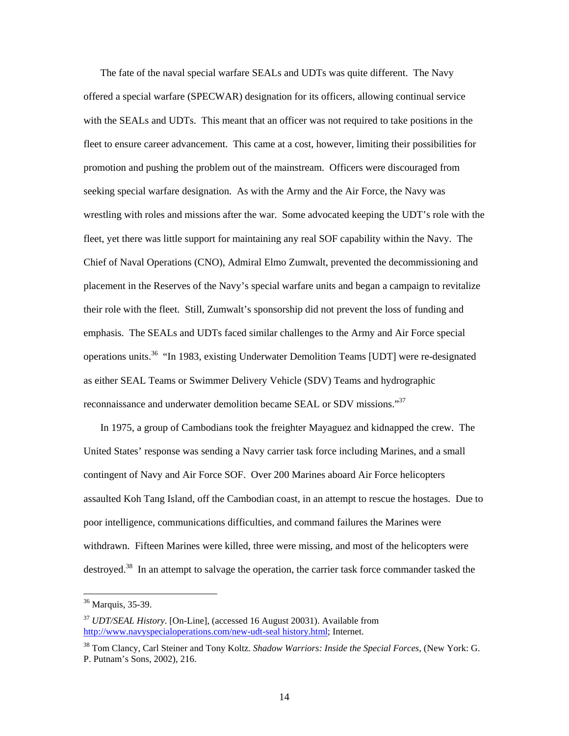The fate of the naval special warfare SEALs and UDTs was quite different. The Navy offered a special warfare (SPECWAR) designation for its officers, allowing continual service with the SEALs and UDTs. This meant that an officer was not required to take positions in the fleet to ensure career advancement. This came at a cost, however, limiting their possibilities for promotion and pushing the problem out of the mainstream. Officers were discouraged from seeking special warfare designation. As with the Army and the Air Force, the Navy was wrestling with roles and missions after the war. Some advocated keeping the UDT's role with the fleet, yet there was little support for maintaining any real SOF capability within the Navy. The Chief of Naval Operations (CNO), Admiral Elmo Zumwalt, prevented the decommissioning and placement in the Reserves of the Navy's special warfare units and began a campaign to revitalize their role with the fleet. Still, Zumwalt's sponsorship did not prevent the loss of funding and emphasis. The SEALs and UDTs faced similar challenges to the Army and Air Force special operations units.[36](#page-21-0) "In 1983, existing Underwater Demolition Teams [UDT] were re-designated as either SEAL Teams or Swimmer Delivery Vehicle (SDV) Teams and hydrographic reconnaissance and underwater demolition became SEAL or SDV missions."<sup>[37](#page-21-1)</sup>

In 1975, a group of Cambodians took the freighter Mayaguez and kidnapped the crew. The United States' response was sending a Navy carrier task force including Marines, and a small contingent of Navy and Air Force SOF. Over 200 Marines aboard Air Force helicopters assaulted Koh Tang Island, off the Cambodian coast, in an attempt to rescue the hostages. Due to poor intelligence, communications difficulties, and command failures the Marines were withdrawn. Fifteen Marines were killed, three were missing, and most of the helicopters were destroyed.<sup>38</sup> In an attempt to salvage the operation, the carrier task force commander tasked the

<span id="page-21-0"></span> <sup>36</sup> Marquis, 35-39.

<span id="page-21-1"></span><sup>37</sup> *UDT/SEAL History*. [On-Line], (accessed 16 August 20031). Available from [http://www.navyspecialoperations.com/new-udt-seal history.html;](http://www.navyspecialoperations.com/new-udt-seal history.html) Internet.

<span id="page-21-2"></span><sup>38</sup> Tom Clancy, Carl Steiner and Tony Koltz. *Shadow Warriors: Inside the Special Forces*, (New York: G. P. Putnam's Sons, 2002), 216.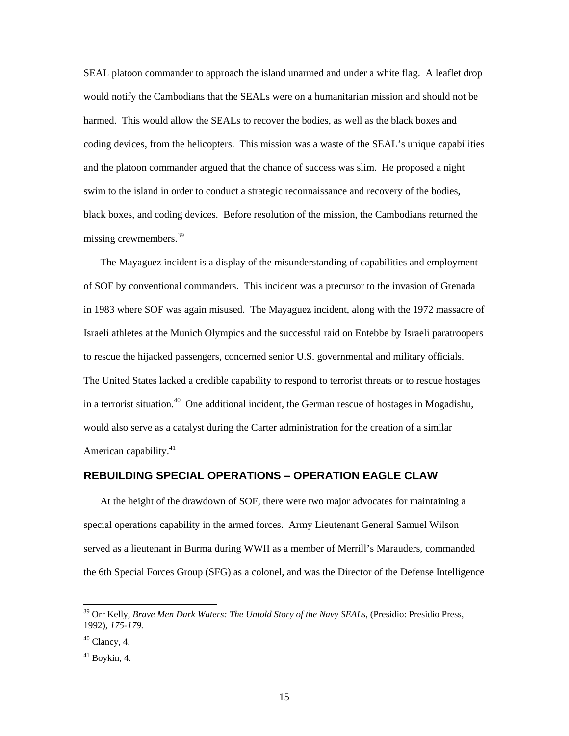<span id="page-22-0"></span>SEAL platoon commander to approach the island unarmed and under a white flag. A leaflet drop would notify the Cambodians that the SEALs were on a humanitarian mission and should not be harmed. This would allow the SEALs to recover the bodies, as well as the black boxes and coding devices, from the helicopters. This mission was a waste of the SEAL's unique capabilities and the platoon commander argued that the chance of success was slim. He proposed a night swim to the island in order to conduct a strategic reconnaissance and recovery of the bodies, black boxes, and coding devices. Before resolution of the mission, the Cambodians returned the missing crewmembers.<sup>39</sup>

The Mayaguez incident is a display of the misunderstanding of capabilities and employment of SOF by conventional commanders. This incident was a precursor to the invasion of Grenada in 1983 where SOF was again misused. The Mayaguez incident, along with the 1972 massacre of Israeli athletes at the Munich Olympics and the successful raid on Entebbe by Israeli paratroopers to rescue the hijacked passengers, concerned senior U.S. governmental and military officials. The United States lacked a credible capability to respond to terrorist threats or to rescue hostages in a terrorist situation.<sup>40</sup> One additional incident, the German rescue of hostages in Mogadishu, would also serve as a catalyst during the Carter administration for the creation of a similar American capability.<sup>[41](#page-22-3)</sup>

#### **REBUILDING SPECIAL OPERATIONS – OPERATION EAGLE CLAW**

At the height of the drawdown of SOF, there were two major advocates for maintaining a special operations capability in the armed forces. Army Lieutenant General Samuel Wilson served as a lieutenant in Burma during WWII as a member of Merrill's Marauders, commanded the 6th Special Forces Group (SFG) as a colonel, and was the Director of the Defense Intelligence

<span id="page-22-1"></span> <sup>39</sup> Orr Kelly, *Brave Men Dark Waters: The Untold Story of the Navy SEALs*, (Presidio: Presidio Press, 1992), *175-179.*

<span id="page-22-2"></span> $40$  Clancy, 4.

<span id="page-22-3"></span><sup>41</sup> Boykin, 4.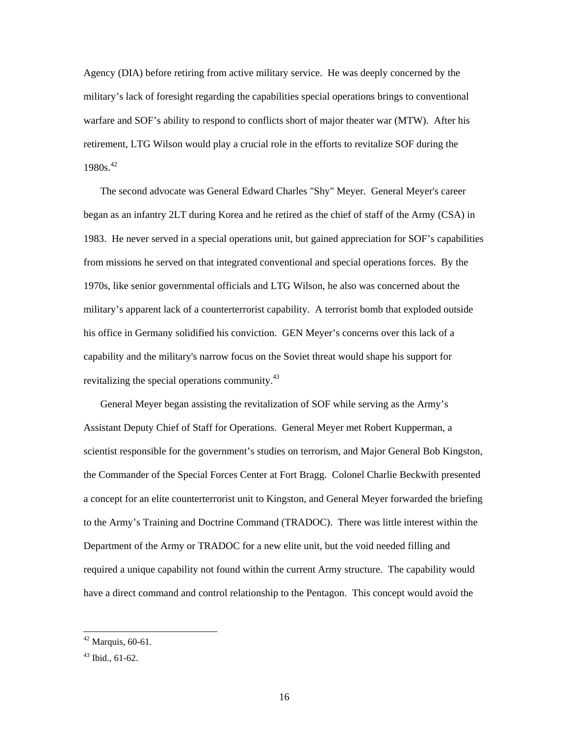Agency (DIA) before retiring from active military service. He was deeply concerned by the military's lack of foresight regarding the capabilities special operations brings to conventional warfare and SOF's ability to respond to conflicts short of major theater war (MTW). After his retirement, LTG Wilson would play a crucial role in the efforts to revitalize SOF during the  $1980s.<sup>42</sup>$  $1980s.<sup>42</sup>$  $1980s.<sup>42</sup>$ 

The second advocate was General Edward Charles "Shy" Meyer. General Meyer's career began as an infantry 2LT during Korea and he retired as the chief of staff of the Army (CSA) in 1983. He never served in a special operations unit, but gained appreciation for SOF's capabilities from missions he served on that integrated conventional and special operations forces. By the 1970s, like senior governmental officials and LTG Wilson, he also was concerned about the military's apparent lack of a counterterrorist capability. A terrorist bomb that exploded outside his office in Germany solidified his conviction. GEN Meyer's concerns over this lack of a capability and the military's narrow focus on the Soviet threat would shape his support for revitalizing the special operations community.<sup>[43](#page-23-1)</sup>

General Meyer began assisting the revitalization of SOF while serving as the Army's Assistant Deputy Chief of Staff for Operations. General Meyer met Robert Kupperman, a scientist responsible for the government's studies on terrorism, and Major General Bob Kingston, the Commander of the Special Forces Center at Fort Bragg. Colonel Charlie Beckwith presented a concept for an elite counterterrorist unit to Kingston, and General Meyer forwarded the briefing to the Army's Training and Doctrine Command (TRADOC). There was little interest within the Department of the Army or TRADOC for a new elite unit, but the void needed filling and required a unique capability not found within the current Army structure. The capability would have a direct command and control relationship to the Pentagon. This concept would avoid the

<span id="page-23-0"></span> $42$  Marquis, 60-61.

<span id="page-23-1"></span> $43$  Ibid., 61-62.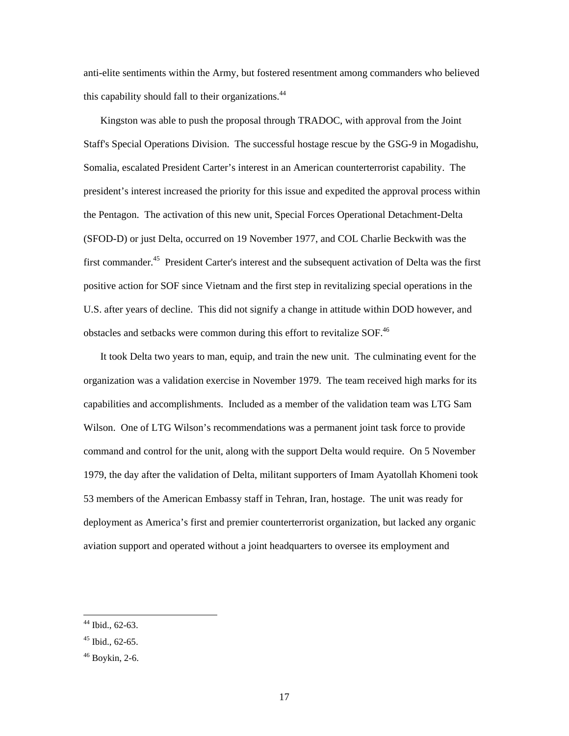anti-elite sentiments within the Army, but fostered resentment among commanders who believed this capability should fall to their organizations.<sup>[44](#page-24-0)</sup>

Kingston was able to push the proposal through TRADOC, with approval from the Joint Staff's Special Operations Division. The successful hostage rescue by the GSG-9 in Mogadishu, Somalia, escalated President Carter's interest in an American counterterrorist capability. The president's interest increased the priority for this issue and expedited the approval process within the Pentagon. The activation of this new unit, Special Forces Operational Detachment-Delta (SFOD-D) or just Delta, occurred on 19 November 1977, and COL Charlie Beckwith was the first commander.<sup>45</sup> President Carter's interest and the subsequent activation of Delta was the first positive action for SOF since Vietnam and the first step in revitalizing special operations in the U.S. after years of decline. This did not signify a change in attitude within DOD however, and obstacles and setbacks were common during this effort to revitalize SOF.<sup>46</sup>

It took Delta two years to man, equip, and train the new unit. The culminating event for the organization was a validation exercise in November 1979. The team received high marks for its capabilities and accomplishments. Included as a member of the validation team was LTG Sam Wilson. One of LTG Wilson's recommendations was a permanent joint task force to provide command and control for the unit, along with the support Delta would require. On 5 November 1979, the day after the validation of Delta, militant supporters of Imam Ayatollah Khomeni took 53 members of the American Embassy staff in Tehran, Iran, hostage. The unit was ready for deployment as America's first and premier counterterrorist organization, but lacked any organic aviation support and operated without a joint headquarters to oversee its employment and

<span id="page-24-0"></span> <sup>44</sup> Ibid., 62-63.

<span id="page-24-1"></span> $45$  Ibid., 62-65.

<span id="page-24-2"></span><sup>46</sup> Boykin, 2-6.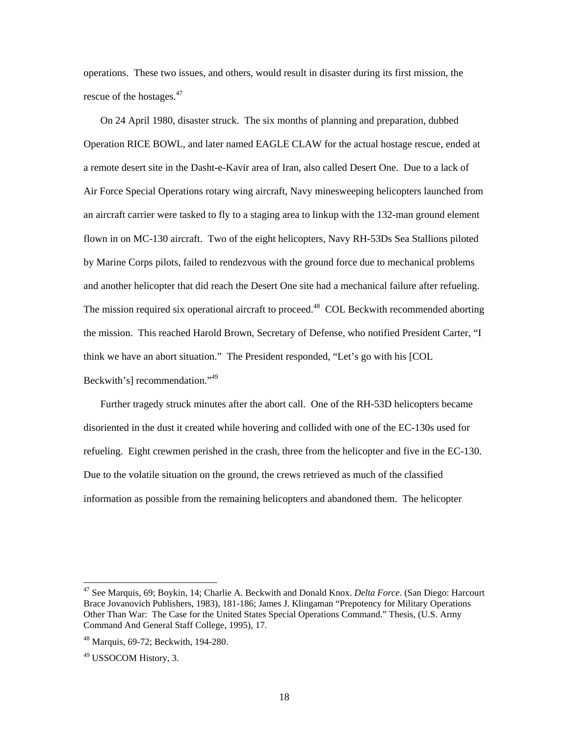operations. These two issues, and others, would result in disaster during its first mission, the rescue of the hostages. $47$ 

On 24 April 1980, disaster struck. The six months of planning and preparation, dubbed Operation RICE BOWL, and later named EAGLE CLAW for the actual hostage rescue, ended at a remote desert site in the Dasht-e-Kavir area of Iran, also called Desert One. Due to a lack of Air Force Special Operations rotary wing aircraft, Navy minesweeping helicopters launched from an aircraft carrier were tasked to fly to a staging area to linkup with the 132-man ground element flown in on MC-130 aircraft. Two of the eight helicopters, Navy RH-53Ds Sea Stallions piloted by Marine Corps pilots, failed to rendezvous with the ground force due to mechanical problems and another helicopter that did reach the Desert One site had a mechanical failure after refueling. The mission required six operational aircraft to proceed.<sup>48</sup> COL Beckwith recommended aborting the mission. This reached Harold Brown, Secretary of Defense, who notified President Carter, "I think we have an abort situation." The President responded, "Let's go with his [COL Beckwith's] recommendation."[49](#page-25-2)

Further tragedy struck minutes after the abort call. One of the RH-53D helicopters became disoriented in the dust it created while hovering and collided with one of the EC-130s used for refueling. Eight crewmen perished in the crash, three from the helicopter and five in the EC-130. Due to the volatile situation on the ground, the crews retrieved as much of the classified information as possible from the remaining helicopters and abandoned them. The helicopter

<span id="page-25-0"></span> <sup>47</sup> See Marquis, 69; Boykin, 14; Charlie A. Beckwith and Donald Knox. *Delta Force*. (San Diego: Harcourt Brace Jovanovich Publishers, 1983), 181-186; James J. Klingaman "Prepotency for Military Operations Other Than War: The Case for the United States Special Operations Command." Thesis, (U.S. Army Command And General Staff College, 1995), 17.

<span id="page-25-1"></span><sup>48</sup> Marquis, 69-72; Beckwith, 194-280.

<span id="page-25-2"></span><sup>49</sup> USSOCOM History, 3.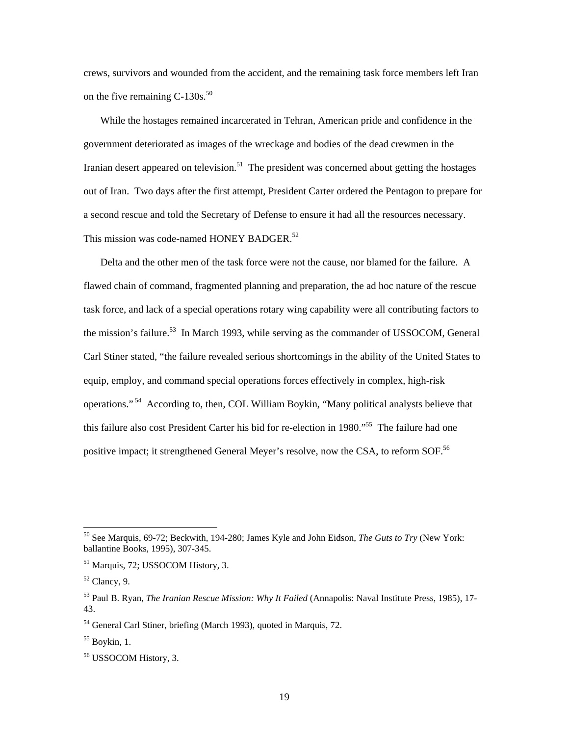crews, survivors and wounded from the accident, and the remaining task force members left Iran on the five remaining  $C-130s$ .<sup>[50](#page-26-0)</sup>

While the hostages remained incarcerated in Tehran, American pride and confidence in the government deteriorated as images of the wreckage and bodies of the dead crewmen in the Iranian desert appeared on television.<sup>51</sup> The president was concerned about getting the hostages out of Iran. Two days after the first attempt, President Carter ordered the Pentagon to prepare for a second rescue and told the Secretary of Defense to ensure it had all the resources necessary. This mission was code-named HONEY BADGER.<sup>[52](#page-26-2)</sup>

Delta and the other men of the task force were not the cause, nor blamed for the failure. A flawed chain of command, fragmented planning and preparation, the ad hoc nature of the rescue task force, and lack of a special operations rotary wing capability were all contributing factors to the mission's failure.<sup>53</sup> In March 1993, while serving as the commander of USSOCOM, General Carl Stiner stated, "the failure revealed serious shortcomings in the ability of the United States to equip, employ, and command special operations forces effectively in complex, high-risk operations." [54](#page-26-4) According to, then, COL William Boykin, "Many political analysts believe that this failure also cost President Carter his bid for re-election in 1980."<sup>55</sup> The failure had one positive impact; it strengthened General Meyer's resolve, now the CSA, to reform SOF.<sup>[56](#page-26-6)</sup>

<span id="page-26-0"></span> <sup>50</sup> See Marquis, 69-72; Beckwith, 194-280; James Kyle and John Eidson, *The Guts to Try* (New York: ballantine Books, 1995), 307-345.

<span id="page-26-1"></span><sup>51</sup> Marquis, 72; USSOCOM History, 3.

<span id="page-26-2"></span> $52$  Clancy, 9.

<span id="page-26-3"></span><sup>53</sup> Paul B. Ryan, *The Iranian Rescue Mission: Why It Failed* (Annapolis: Naval Institute Press, 1985), 17- 43.

<span id="page-26-4"></span><sup>&</sup>lt;sup>54</sup> General Carl Stiner, briefing (March 1993), quoted in Marquis, 72.

<span id="page-26-5"></span> $55$  Boykin, 1.

<span id="page-26-6"></span><sup>56</sup> USSOCOM History, 3.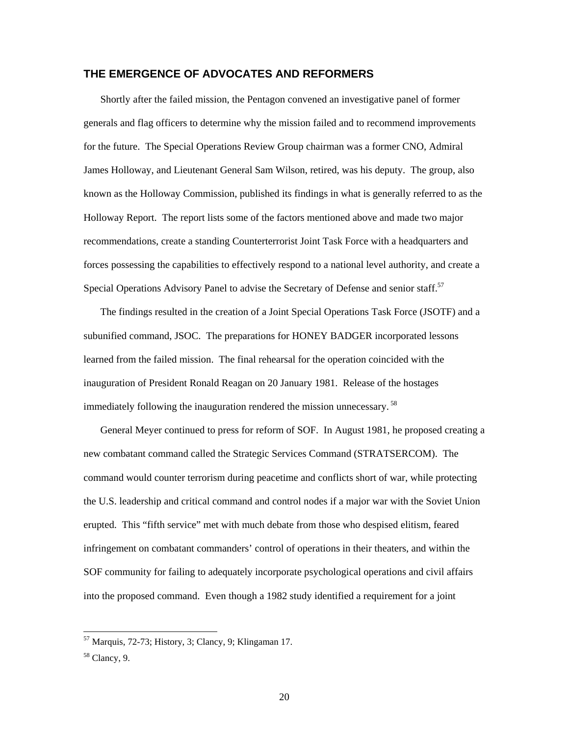#### <span id="page-27-0"></span>**THE EMERGENCE OF ADVOCATES AND REFORMERS**

Shortly after the failed mission, the Pentagon convened an investigative panel of former generals and flag officers to determine why the mission failed and to recommend improvements for the future. The Special Operations Review Group chairman was a former CNO, Admiral James Holloway, and Lieutenant General Sam Wilson, retired, was his deputy. The group, also known as the Holloway Commission, published its findings in what is generally referred to as the Holloway Report. The report lists some of the factors mentioned above and made two major recommendations, create a standing Counterterrorist Joint Task Force with a headquarters and forces possessing the capabilities to effectively respond to a national level authority, and create a Special Operations Advisory Panel to advise the Secretary of Defense and senior staff.<sup>[57](#page-27-1)</sup>

The findings resulted in the creation of a Joint Special Operations Task Force (JSOTF) and a subunified command, JSOC. The preparations for HONEY BADGER incorporated lessons learned from the failed mission. The final rehearsal for the operation coincided with the inauguration of President Ronald Reagan on 20 January 1981. Release of the hostages immediately following the inauguration rendered the mission unnecessary.<sup>[58](#page-27-2)</sup>

General Meyer continued to press for reform of SOF. In August 1981, he proposed creating a new combatant command called the Strategic Services Command (STRATSERCOM). The command would counter terrorism during peacetime and conflicts short of war, while protecting the U.S. leadership and critical command and control nodes if a major war with the Soviet Union erupted. This "fifth service" met with much debate from those who despised elitism, feared infringement on combatant commanders' control of operations in their theaters, and within the SOF community for failing to adequately incorporate psychological operations and civil affairs into the proposed command. Even though a 1982 study identified a requirement for a joint

<span id="page-27-1"></span> <sup>57</sup> Marquis, 72-73; History, 3; Clancy, 9; Klingaman 17.

<span id="page-27-2"></span> $58$  Clancy, 9.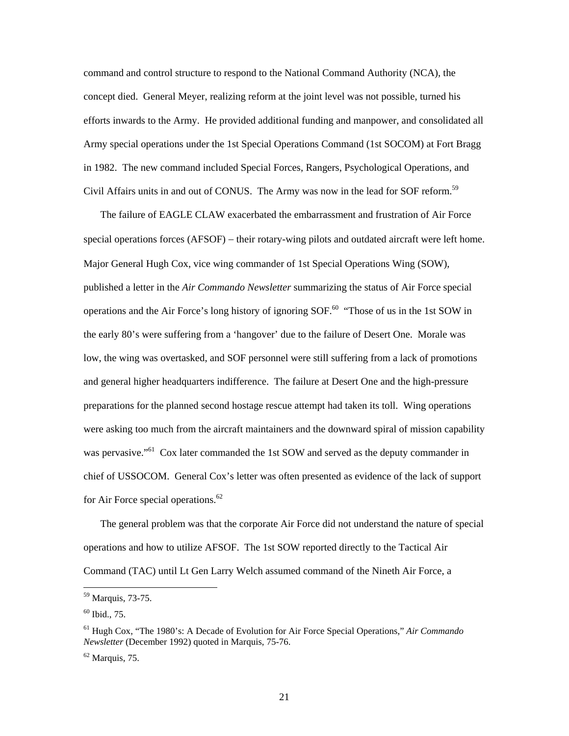command and control structure to respond to the National Command Authority (NCA), the concept died. General Meyer, realizing reform at the joint level was not possible, turned his efforts inwards to the Army. He provided additional funding and manpower, and consolidated all Army special operations under the 1st Special Operations Command (1st SOCOM) at Fort Bragg in 1982. The new command included Special Forces, Rangers, Psychological Operations, and Civil Affairs units in and out of CONUS. The Army was now in the lead for SOF reform.<sup>[59](#page-28-0)</sup>

The failure of EAGLE CLAW exacerbated the embarrassment and frustration of Air Force special operations forces (AFSOF) – their rotary-wing pilots and outdated aircraft were left home. Major General Hugh Cox, vice wing commander of 1st Special Operations Wing (SOW), published a letter in the *Air Commando Newsletter* summarizing the status of Air Force special operations and the Air Force's long history of ignoring SOF.<sup>60</sup> "Those of us in the 1st SOW in the early 80's were suffering from a 'hangover' due to the failure of Desert One. Morale was low, the wing was overtasked, and SOF personnel were still suffering from a lack of promotions and general higher headquarters indifference. The failure at Desert One and the high-pressure preparations for the planned second hostage rescue attempt had taken its toll. Wing operations were asking too much from the aircraft maintainers and the downward spiral of mission capability was pervasive."<sup>61</sup> Cox later commanded the 1st SOW and served as the deputy commander in chief of USSOCOM. General Cox's letter was often presented as evidence of the lack of support for Air Force special operations.<sup>[62](#page-28-3)</sup>

The general problem was that the corporate Air Force did not understand the nature of special operations and how to utilize AFSOF. The 1st SOW reported directly to the Tactical Air Command (TAC) until Lt Gen Larry Welch assumed command of the Nineth Air Force, a

<span id="page-28-0"></span> <sup>59</sup> Marquis, 73-75.

<span id="page-28-1"></span> $60$  Ibid., 75.

<span id="page-28-2"></span><sup>61</sup> Hugh Cox, "The 1980's: A Decade of Evolution for Air Force Special Operations," *Air Commando Newsletter* (December 1992) quoted in Marquis, 75-76.

<span id="page-28-3"></span> $62$  Marquis, 75.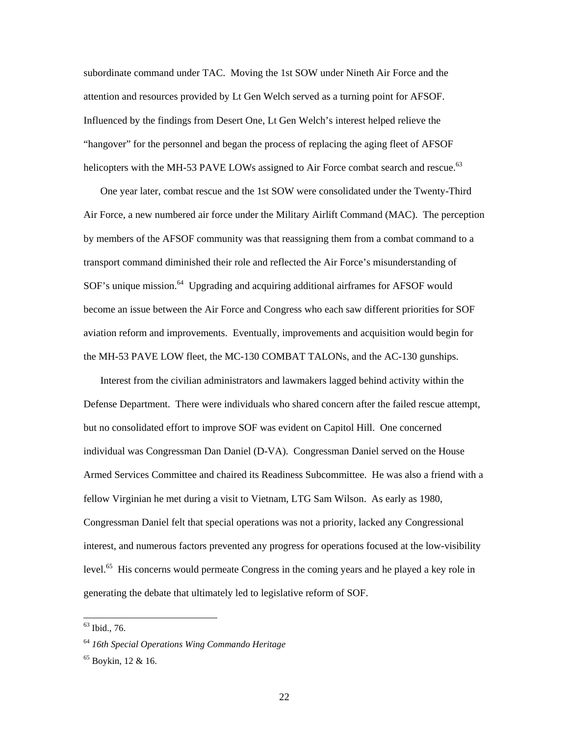subordinate command under TAC. Moving the 1st SOW under Nineth Air Force and the attention and resources provided by Lt Gen Welch served as a turning point for AFSOF. Influenced by the findings from Desert One, Lt Gen Welch's interest helped relieve the "hangover" for the personnel and began the process of replacing the aging fleet of AFSOF helicopters with the MH-53 PAVE LOWs assigned to Air Force combat search and rescue.<sup>[63](#page-29-0)</sup>

One year later, combat rescue and the 1st SOW were consolidated under the Twenty-Third Air Force, a new numbered air force under the Military Airlift Command (MAC). The perception by members of the AFSOF community was that reassigning them from a combat command to a transport command diminished their role and reflected the Air Force's misunderstanding of SOF's unique mission.<sup>64</sup> Upgrading and acquiring additional airframes for AFSOF would become an issue between the Air Force and Congress who each saw different priorities for SOF aviation reform and improvements. Eventually, improvements and acquisition would begin for the MH-53 PAVE LOW fleet, the MC-130 COMBAT TALONs, and the AC-130 gunships.

Interest from the civilian administrators and lawmakers lagged behind activity within the Defense Department. There were individuals who shared concern after the failed rescue attempt, but no consolidated effort to improve SOF was evident on Capitol Hill. One concerned individual was Congressman Dan Daniel (D-VA). Congressman Daniel served on the House Armed Services Committee and chaired its Readiness Subcommittee. He was also a friend with a fellow Virginian he met during a visit to Vietnam, LTG Sam Wilson. As early as 1980, Congressman Daniel felt that special operations was not a priority, lacked any Congressional interest, and numerous factors prevented any progress for operations focused at the low-visibility level.<sup>65</sup> His concerns would permeate Congress in the coming years and he played a key role in generating the debate that ultimately led to legislative reform of SOF.

<span id="page-29-0"></span> $63$  Ibid., 76.

<span id="page-29-1"></span><sup>64</sup> *16th Special Operations Wing Commando Heritage*

<span id="page-29-2"></span> $65$  Boykin, 12 & 16.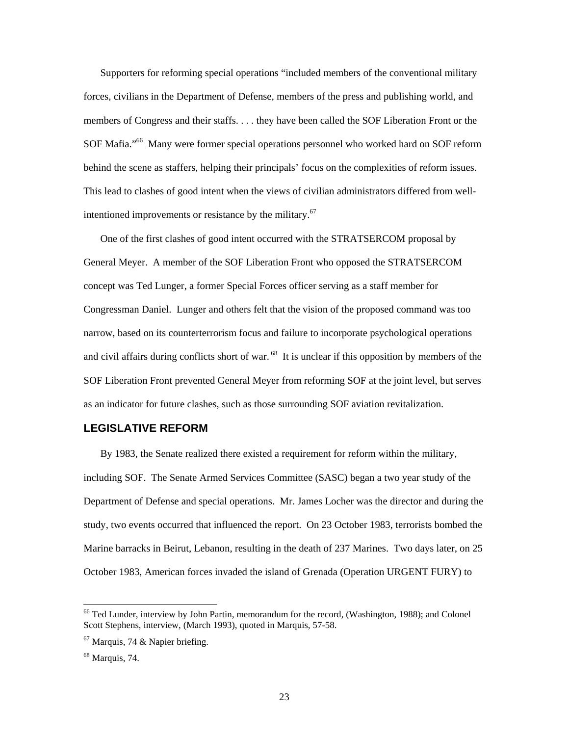<span id="page-30-0"></span>Supporters for reforming special operations "included members of the conventional military forces, civilians in the Department of Defense, members of the press and publishing world, and members of Congress and their staffs. . . . they have been called the SOF Liberation Front or the SOF Mafia."<sup>66</sup> Many were former special operations personnel who worked hard on SOF reform behind the scene as staffers, helping their principals' focus on the complexities of reform issues. This lead to clashes of good intent when the views of civilian administrators differed from wellintentioned improvements or resistance by the military. [67](#page-30-2) 

One of the first clashes of good intent occurred with the STRATSERCOM proposal by General Meyer. A member of the SOF Liberation Front who opposed the STRATSERCOM concept was Ted Lunger, a former Special Forces officer serving as a staff member for Congressman Daniel. Lunger and others felt that the vision of the proposed command was too narrow, based on its counterterrorism focus and failure to incorporate psychological operations and civil affairs during conflicts short of war.<sup>68</sup> It is unclear if this opposition by members of the SOF Liberation Front prevented General Meyer from reforming SOF at the joint level, but serves as an indicator for future clashes, such as those surrounding SOF aviation revitalization.

#### **LEGISLATIVE REFORM**

By 1983, the Senate realized there existed a requirement for reform within the military, including SOF. The Senate Armed Services Committee (SASC) began a two year study of the Department of Defense and special operations. Mr. James Locher was the director and during the study, two events occurred that influenced the report. On 23 October 1983, terrorists bombed the Marine barracks in Beirut, Lebanon, resulting in the death of 237 Marines. Two days later, on 25 October 1983, American forces invaded the island of Grenada (Operation URGENT FURY) to

<span id="page-30-1"></span><sup>&</sup>lt;sup>66</sup> Ted Lunder, interview by John Partin, memorandum for the record, (Washington, 1988); and Colonel Scott Stephens, interview, (March 1993), quoted in Marquis, 57-58.

<span id="page-30-2"></span> $67$  Marquis, 74 & Napier briefing.

<span id="page-30-3"></span> $68$  Marquis, 74.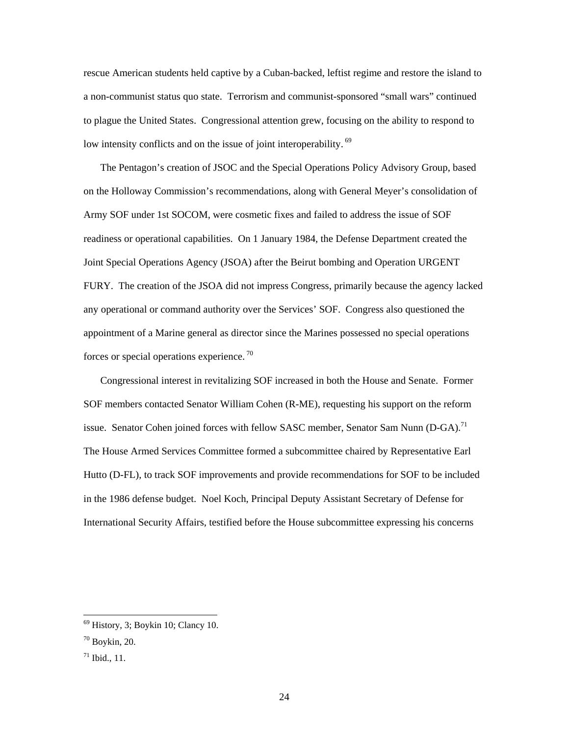rescue American students held captive by a Cuban-backed, leftist regime and restore the island to a non-communist status quo state. Terrorism and communist-sponsored "small wars" continued to plague the United States. Congressional attention grew, focusing on the ability to respond to low intensity conflicts and on the issue of joint interoperability.<sup>69</sup>

The Pentagon's creation of JSOC and the Special Operations Policy Advisory Group, based on the Holloway Commission's recommendations, along with General Meyer's consolidation of Army SOF under 1st SOCOM, were cosmetic fixes and failed to address the issue of SOF readiness or operational capabilities. On 1 January 1984, the Defense Department created the Joint Special Operations Agency (JSOA) after the Beirut bombing and Operation URGENT FURY. The creation of the JSOA did not impress Congress, primarily because the agency lacked any operational or command authority over the Services' SOF. Congress also questioned the appointment of a Marine general as director since the Marines possessed no special operations forces or special operations experience.  $\frac{70}{2}$  $\frac{70}{2}$  $\frac{70}{2}$ 

Congressional interest in revitalizing SOF increased in both the House and Senate. Former SOF members contacted Senator William Cohen (R-ME), requesting his support on the reform issue. Senator Cohen joined forces with fellow SASC member, Senator Sam Nunn  $(D-GA)^{71}$ The House Armed Services Committee formed a subcommittee chaired by Representative Earl Hutto (D-FL), to track SOF improvements and provide recommendations for SOF to be included in the 1986 defense budget. Noel Koch, Principal Deputy Assistant Secretary of Defense for International Security Affairs, testified before the House subcommittee expressing his concerns

<span id="page-31-0"></span> <sup>69</sup> History, 3; Boykin 10; Clancy 10.

<span id="page-31-1"></span> $70$  Boykin, 20.

<span id="page-31-2"></span> $71$  Ibid., 11.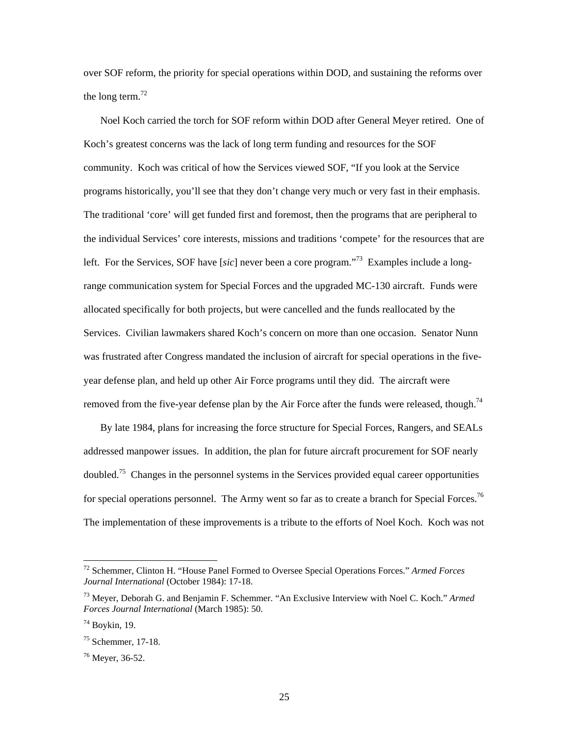over SOF reform, the priority for special operations within DOD, and sustaining the reforms over the long term. $72$ 

Noel Koch carried the torch for SOF reform within DOD after General Meyer retired. One of Koch's greatest concerns was the lack of long term funding and resources for the SOF community. Koch was critical of how the Services viewed SOF, "If you look at the Service programs historically, you'll see that they don't change very much or very fast in their emphasis. The traditional 'core' will get funded first and foremost, then the programs that are peripheral to the individual Services' core interests, missions and traditions 'compete' for the resources that are left. For the Services, SOF have [*sic*] never been a core program.["73](#page-32-1) Examples include a longrange communication system for Special Forces and the upgraded MC-130 aircraft. Funds were allocated specifically for both projects, but were cancelled and the funds reallocated by the Services. Civilian lawmakers shared Koch's concern on more than one occasion. Senator Nunn was frustrated after Congress mandated the inclusion of aircraft for special operations in the fiveyear defense plan, and held up other Air Force programs until they did. The aircraft were removed from the five-year defense plan by the Air Force after the funds were released, though.<sup>74</sup>

By late 1984, plans for increasing the force structure for Special Forces, Rangers, and SEALs addressed manpower issues. In addition, the plan for future aircraft procurement for SOF nearly doubled.<sup>75</sup> Changes in the personnel systems in the Services provided equal career opportunities for special operations personnel. The Army went so far as to create a branch for Special Forces.<sup>76</sup> The implementation of these improvements is a tribute to the efforts of Noel Koch. Koch was not

<span id="page-32-0"></span> <sup>72</sup> Schemmer, Clinton H. "House Panel Formed to Oversee Special Operations Forces." *Armed Forces Journal International* (October 1984): 17-18.

<span id="page-32-1"></span><sup>73</sup> Meyer, Deborah G. and Benjamin F. Schemmer. "An Exclusive Interview with Noel C. Koch." *Armed Forces Journal International* (March 1985): 50.

<span id="page-32-2"></span> $74$  Boykin, 19.

<span id="page-32-3"></span> $75$  Schemmer, 17-18.

<span id="page-32-4"></span><sup>76</sup> Meyer, 36-52.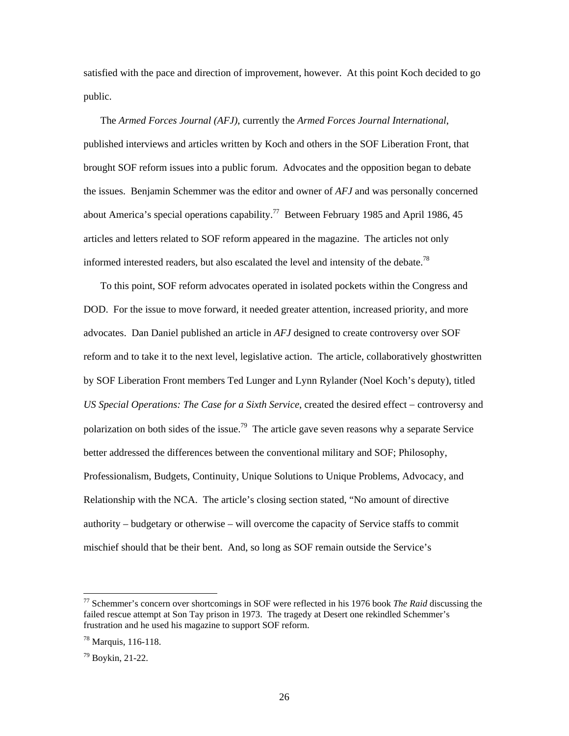satisfied with the pace and direction of improvement, however. At this point Koch decided to go public.

The *Armed Forces Journal (AFJ)*, currently the *Armed Forces Journal International*, published interviews and articles written by Koch and others in the SOF Liberation Front, that brought SOF reform issues into a public forum. Advocates and the opposition began to debate the issues. Benjamin Schemmer was the editor and owner of *AFJ* and was personally concerned about America's special operations capability.<sup>77</sup> Between February 1985 and April 1986, 45 articles and letters related to SOF reform appeared in the magazine. The articles not only informed interested readers, but also escalated the level and intensity of the debate.<sup>78</sup>

To this point, SOF reform advocates operated in isolated pockets within the Congress and DOD. For the issue to move forward, it needed greater attention, increased priority, and more advocates. Dan Daniel published an article in *AFJ* designed to create controversy over SOF reform and to take it to the next level, legislative action. The article, collaboratively ghostwritten by SOF Liberation Front members Ted Lunger and Lynn Rylander (Noel Koch's deputy), titled *US Special Operations: The Case for a Sixth Service*, created the desired effect − controversy and polarization on both sides of the issue.<sup>79</sup> The article gave seven reasons why a separate Service better addressed the differences between the conventional military and SOF; Philosophy, Professionalism, Budgets, Continuity, Unique Solutions to Unique Problems, Advocacy, and Relationship with the NCA. The article's closing section stated, "No amount of directive authority – budgetary or otherwise – will overcome the capacity of Service staffs to commit mischief should that be their bent. And, so long as SOF remain outside the Service's

<span id="page-33-0"></span> <sup>77</sup> Schemmer's concern over shortcomings in SOF were reflected in his 1976 book *The Raid* discussing the failed rescue attempt at Son Tay prison in 1973. The tragedy at Desert one rekindled Schemmer's frustration and he used his magazine to support SOF reform.

<span id="page-33-1"></span><sup>78</sup> Marquis, 116-118.

<span id="page-33-2"></span><sup>79</sup> Boykin, 21-22.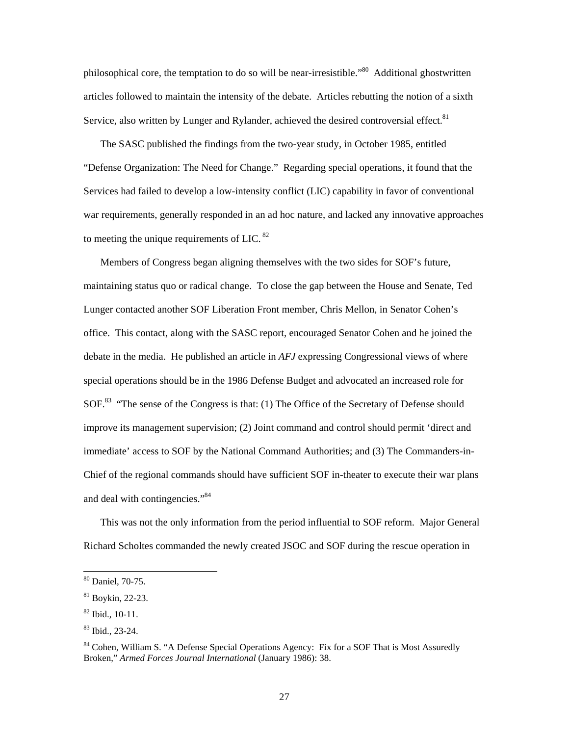philosophical core, the temptation to do so will be near-irresistible."[80](#page-34-0) Additional ghostwritten articles followed to maintain the intensity of the debate. Articles rebutting the notion of a sixth Service, also written by Lunger and Rylander, achieved the desired controversial effect.<sup>81</sup>

The SASC published the findings from the two-year study, in October 1985, entitled "Defense Organization: The Need for Change." Regarding special operations, it found that the Services had failed to develop a low-intensity conflict (LIC) capability in favor of conventional war requirements, generally responded in an ad hoc nature, and lacked any innovative approaches to meeting the unique requirements of LIC.  $82$ 

Members of Congress began aligning themselves with the two sides for SOF's future, maintaining status quo or radical change. To close the gap between the House and Senate, Ted Lunger contacted another SOF Liberation Front member, Chris Mellon, in Senator Cohen's office. This contact, along with the SASC report, encouraged Senator Cohen and he joined the debate in the media. He published an article in *AFJ* expressing Congressional views of where special operations should be in the 1986 Defense Budget and advocated an increased role for SOF.<sup>83</sup> "The sense of the Congress is that: (1) The Office of the Secretary of Defense should improve its management supervision; (2) Joint command and control should permit 'direct and immediate' access to SOF by the National Command Authorities; and (3) The Commanders-in-Chief of the regional commands should have sufficient SOF in-theater to execute their war plans and deal with contingencies."<sup>[84](#page-34-4)</sup>

This was not the only information from the period influential to SOF reform. Major General Richard Scholtes commanded the newly created JSOC and SOF during the rescue operation in

<span id="page-34-0"></span> <sup>80</sup> Daniel, 70-75.

<span id="page-34-1"></span><sup>81</sup> Boykin, 22-23.

<span id="page-34-2"></span><sup>82</sup> Ibid., 10-11.

<span id="page-34-3"></span><sup>83</sup> Ibid., 23-24.

<span id="page-34-4"></span><sup>&</sup>lt;sup>84</sup> Cohen, William S. "A Defense Special Operations Agency: Fix for a SOF That is Most Assuredly Broken," *Armed Forces Journal International* (January 1986): 38.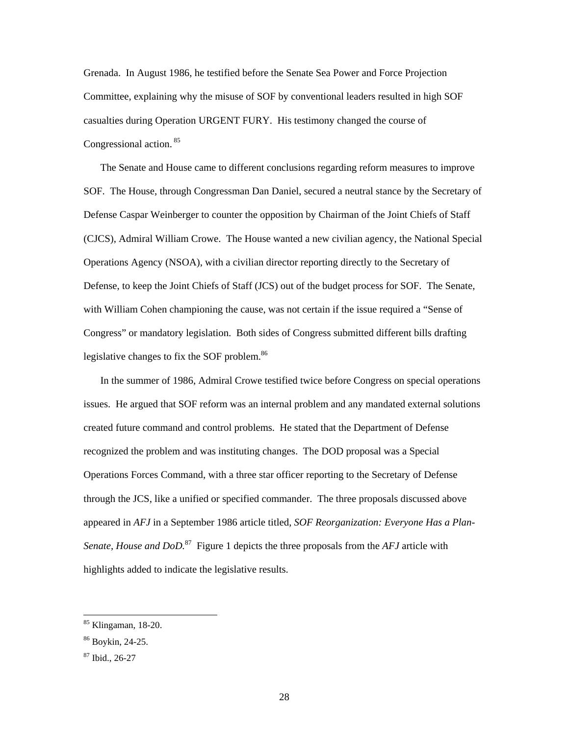Grenada. In August 1986, he testified before the Senate Sea Power and Force Projection Committee, explaining why the misuse of SOF by conventional leaders resulted in high SOF casualties during Operation URGENT FURY. His testimony changed the course of Congressional action. [85](#page-35-0)

The Senate and House came to different conclusions regarding reform measures to improve SOF. The House, through Congressman Dan Daniel, secured a neutral stance by the Secretary of Defense Caspar Weinberger to counter the opposition by Chairman of the Joint Chiefs of Staff (CJCS), Admiral William Crowe. The House wanted a new civilian agency, the National Special Operations Agency (NSOA), with a civilian director reporting directly to the Secretary of Defense, to keep the Joint Chiefs of Staff (JCS) out of the budget process for SOF. The Senate, with William Cohen championing the cause, was not certain if the issue required a "Sense of Congress" or mandatory legislation. Both sides of Congress submitted different bills drafting legislative changes to fix the SOF problem.<sup>[86](#page-35-1)</sup>

In the summer of 1986, Admiral Crowe testified twice before Congress on special operations issues. He argued that SOF reform was an internal problem and any mandated external solutions created future command and control problems. He stated that the Department of Defense recognized the problem and was instituting changes. The DOD proposal was a Special Operations Forces Command, with a three star officer reporting to the Secretary of Defense through the JCS, like a unified or specified commander. The three proposals discussed above appeared in *AFJ* in a September 1986 article titled, *SOF Reorganization: Everyone Has a Plan-Senate, House and DoD.*[87](#page-35-2) Figure 1 depicts the three proposals from the *AFJ* article with highlights added to indicate the legislative results.

<span id="page-35-0"></span> <sup>85</sup> Klingaman, 18-20.

<span id="page-35-1"></span><sup>86</sup> Boykin, 24-25.

<span id="page-35-2"></span><sup>87</sup> Ibid., 26-27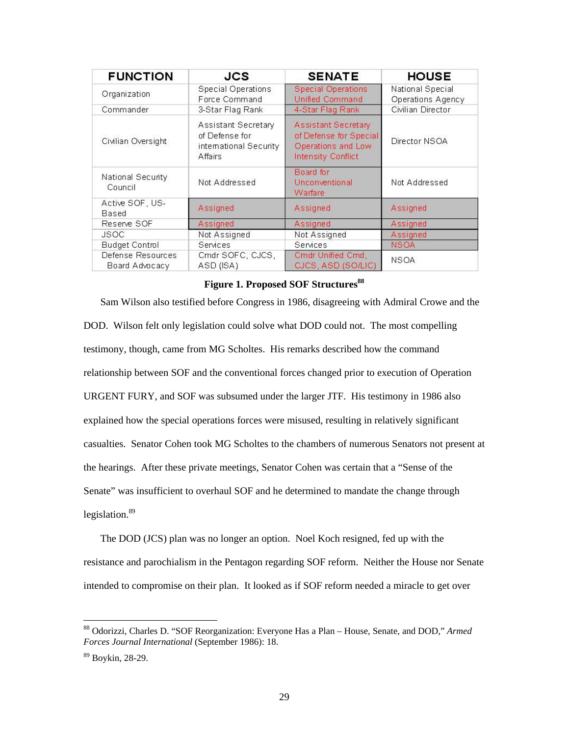<span id="page-36-0"></span>

| <b>FUNCTION</b>                     | <b>JCS</b>                                                                | <b>SENATE</b>                                                                             | <b>HOUSE</b>                          |
|-------------------------------------|---------------------------------------------------------------------------|-------------------------------------------------------------------------------------------|---------------------------------------|
| Organization                        | <b>Special Operations</b><br>Force Command                                | <b>Special Operations</b><br>Unified Command                                              | National Special<br>Operations Agency |
| Commander                           | 3-Star Flag Rank                                                          | 4-Star Flag Rank                                                                          | Civilian Director                     |
| Civilian Oversight                  | Assistant Secretary<br>of Defense for<br>intemational Security<br>Affairs | Assistant Secretary<br>of Defense for Special<br>Operations and Low<br>Intensity Conflict | Director NSOA                         |
| National Security<br>Council        | Not Addressed                                                             | Board for<br>Unconventional<br>Warfare                                                    | Not Addressed                         |
| Active SOF, US-<br><b>Based</b>     | Assigned                                                                  | Assigned                                                                                  | Assigned                              |
| Reserve SOF                         | Assigned                                                                  | Assigned                                                                                  | Assigned                              |
| <b>JSOC</b>                         | Not Assigned                                                              | Not Assigned                                                                              | Assigned                              |
| <b>Budget Control</b>               | <b>Services</b>                                                           | <b>Services</b>                                                                           | <b>NSOA</b>                           |
| Defense Resources<br>Board Advocacy | Cmdr SOFC, CJCS,<br>ASD (ISA)                                             | Cmdr Unified Cmd,<br>CJCS, ASD (SO/LIC)                                                   | <b>NSOA</b>                           |

#### **Figure 1. Proposed SOF Structure[s88](#page-36-1)**

Sam Wilson also testified before Congress in 1986, disagreeing with Admiral Crowe and the DOD. Wilson felt only legislation could solve what DOD could not. The most compelling testimony, though, came from MG Scholtes. His remarks described how the command relationship between SOF and the conventional forces changed prior to execution of Operation URGENT FURY, and SOF was subsumed under the larger JTF. His testimony in 1986 also explained how the special operations forces were misused, resulting in relatively significant casualties. Senator Cohen took MG Scholtes to the chambers of numerous Senators not present at the hearings. After these private meetings, Senator Cohen was certain that a "Sense of the Senate" was insufficient to overhaul SOF and he determined to mandate the change through legislation.<sup>[89](#page-36-2)</sup>

The DOD (JCS) plan was no longer an option. Noel Koch resigned, fed up with the resistance and parochialism in the Pentagon regarding SOF reform. Neither the House nor Senate intended to compromise on their plan. It looked as if SOF reform needed a miracle to get over

<span id="page-36-1"></span> <sup>88</sup> Odorizzi, Charles D. "SOF Reorganization: Everyone Has a Plan – House, Senate, and DOD," *Armed Forces Journal International* (September 1986): 18.

<span id="page-36-2"></span><sup>89</sup> Boykin, 28-29.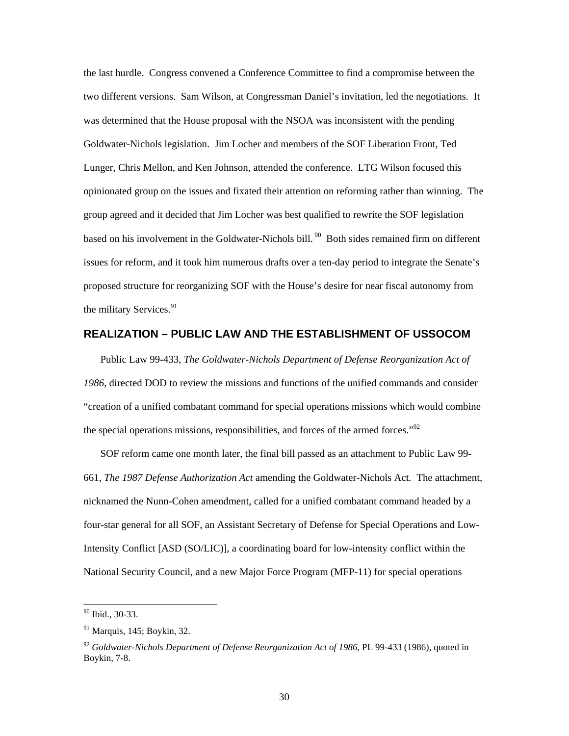<span id="page-37-0"></span>the last hurdle. Congress convened a Conference Committee to find a compromise between the two different versions. Sam Wilson, at Congressman Daniel's invitation, led the negotiations. It was determined that the House proposal with the NSOA was inconsistent with the pending Goldwater-Nichols legislation. Jim Locher and members of the SOF Liberation Front, Ted Lunger, Chris Mellon, and Ken Johnson, attended the conference. LTG Wilson focused this opinionated group on the issues and fixated their attention on reforming rather than winning. The group agreed and it decided that Jim Locher was best qualified to rewrite the SOF legislation based on his involvement in the Goldwater-Nichols bill.<sup>90</sup> Both sides remained firm on different issues for reform, and it took him numerous drafts over a ten-day period to integrate the Senate's proposed structure for reorganizing SOF with the House's desire for near fiscal autonomy from the military Services. $91$ 

#### **REALIZATION – PUBLIC LAW AND THE ESTABLISHMENT OF USSOCOM**

Public Law 99-433, *The Goldwater-Nichols Department of Defense Reorganization Act of 1986*, directed DOD to review the missions and functions of the unified commands and consider "creation of a unified combatant command for special operations missions which would combine the special operations missions, responsibilities, and forces of the armed forces."<sup>92</sup>

SOF reform came one month later, the final bill passed as an attachment to Public Law 99- 661, *The 1987 Defense Authorization Act* amending the Goldwater-Nichols Act*.* The attachment, nicknamed the Nunn-Cohen amendment, called for a unified combatant command headed by a four-star general for all SOF, an Assistant Secretary of Defense for Special Operations and Low-Intensity Conflict [ASD (SO/LIC)], a coordinating board for low-intensity conflict within the National Security Council, and a new Major Force Program (MFP-11) for special operations

<span id="page-37-1"></span> <sup>90</sup> Ibid., 30-33.

<span id="page-37-2"></span><sup>91</sup> Marquis, 145; Boykin, 32.

<span id="page-37-3"></span><sup>&</sup>lt;sup>92</sup> Goldwater-Nichols Department of Defense Reorganization Act of 1986, PL 99-433 (1986), quoted in Boykin, 7-8.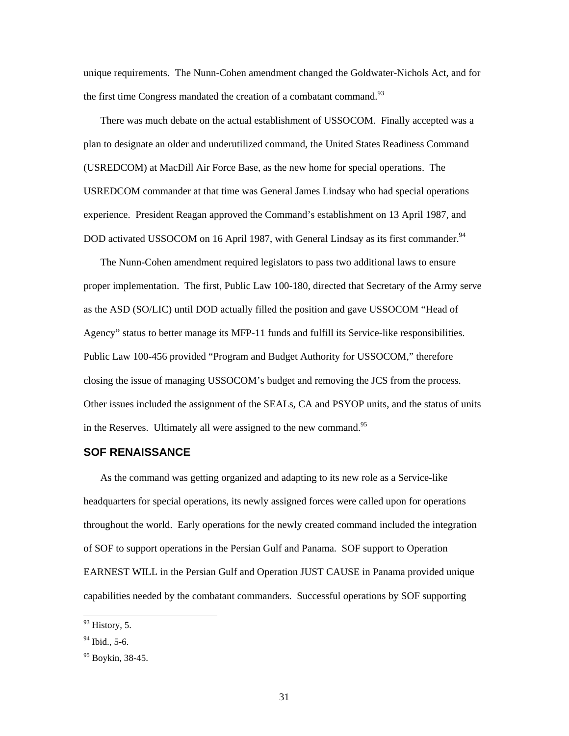<span id="page-38-0"></span>unique requirements. The Nunn-Cohen amendment changed the Goldwater-Nichols Act, and for the first time Congress mandated the creation of a combatant command.<sup>[93](#page-38-1)</sup>

There was much debate on the actual establishment of USSOCOM. Finally accepted was a plan to designate an older and underutilized command, the United States Readiness Command (USREDCOM) at MacDill Air Force Base, as the new home for special operations. The USREDCOM commander at that time was General James Lindsay who had special operations experience. President Reagan approved the Command's establishment on 13 April 1987, and DOD activated USSOCOM on 16 April 1987, with General Lindsay as its first commander.<sup>94</sup>

The Nunn-Cohen amendment required legislators to pass two additional laws to ensure proper implementation. The first, Public Law 100-180, directed that Secretary of the Army serve as the ASD (SO/LIC) until DOD actually filled the position and gave USSOCOM "Head of Agency" status to better manage its MFP-11 funds and fulfill its Service-like responsibilities. Public Law 100-456 provided "Program and Budget Authority for USSOCOM," therefore closing the issue of managing USSOCOM's budget and removing the JCS from the process. Other issues included the assignment of the SEALs, CA and PSYOP units, and the status of units in the Reserves. Ultimately all were assigned to the new command.<sup>[95](#page-38-3)</sup>

#### **SOF RENAISSANCE**

As the command was getting organized and adapting to its new role as a Service-like headquarters for special operations, its newly assigned forces were called upon for operations throughout the world. Early operations for the newly created command included the integration of SOF to support operations in the Persian Gulf and Panama. SOF support to Operation EARNEST WILL in the Persian Gulf and Operation JUST CAUSE in Panama provided unique capabilities needed by the combatant commanders. Successful operations by SOF supporting

<span id="page-38-1"></span> <sup>93</sup> History, 5.

<span id="page-38-2"></span> $94$  Ibid., 5-6.

<span id="page-38-3"></span> $95$  Boykin, 38-45.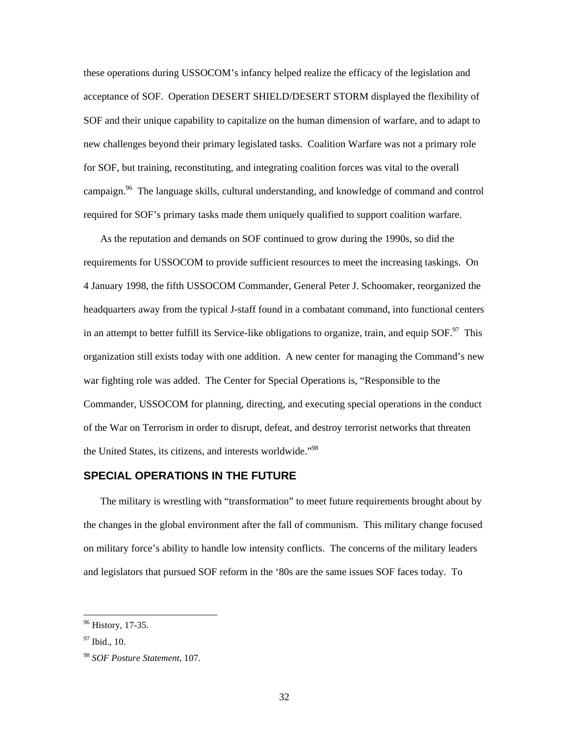<span id="page-39-0"></span>these operations during USSOCOM's infancy helped realize the efficacy of the legislation and acceptance of SOF. Operation DESERT SHIELD/DESERT STORM displayed the flexibility of SOF and their unique capability to capitalize on the human dimension of warfare, and to adapt to new challenges beyond their primary legislated tasks. Coalition Warfare was not a primary role for SOF, but training, reconstituting, and integrating coalition forces was vital to the overall campaign.<sup>96</sup> The language skills, cultural understanding, and knowledge of command and control required for SOF's primary tasks made them uniquely qualified to support coalition warfare.

As the reputation and demands on SOF continued to grow during the 1990s, so did the requirements for USSOCOM to provide sufficient resources to meet the increasing taskings. On 4 January 1998, the fifth USSOCOM Commander, General Peter J. Schoomaker, reorganized the headquarters away from the typical J-staff found in a combatant command, into functional centers in an attempt to better fulfill its Service-like obligations to organize, train, and equip SOF.<sup>97</sup> This organization still exists today with one addition. A new center for managing the Command's new war fighting role was added. The Center for Special Operations is, "Responsible to the Commander, USSOCOM for planning, directing, and executing special operations in the conduct of the War on Terrorism in order to disrupt, defeat, and destroy terrorist networks that threaten the United States, its citizens, and interests worldwide."<sup>98</sup>

#### **SPECIAL OPERATIONS IN THE FUTURE**

The military is wrestling with "transformation" to meet future requirements brought about by the changes in the global environment after the fall of communism. This military change focused on military force's ability to handle low intensity conflicts. The concerns of the military leaders and legislators that pursued SOF reform in the '80s are the same issues SOF faces today. To

<span id="page-39-1"></span> <sup>96</sup> History, 17-35.

<span id="page-39-2"></span> $97$  Ibid., 10.

<span id="page-39-3"></span><sup>98</sup> *SOF Posture Statement*, 107.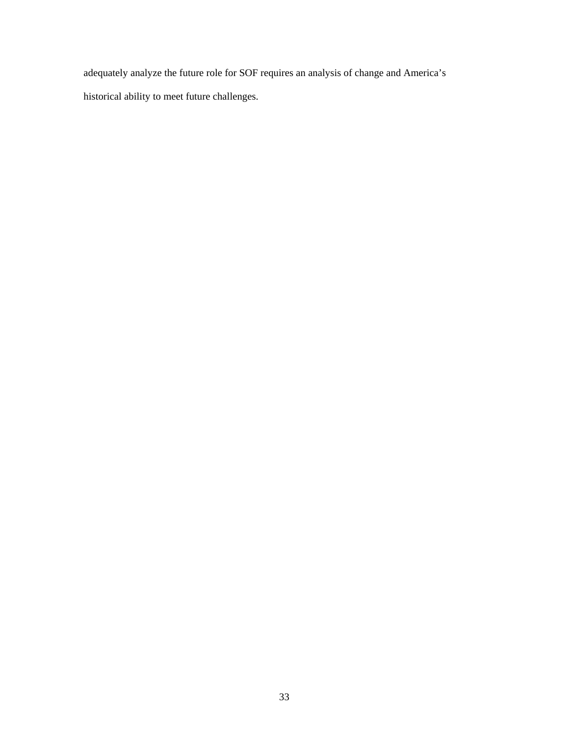adequately analyze the future role for SOF requires an analysis of change and America's historical ability to meet future challenges.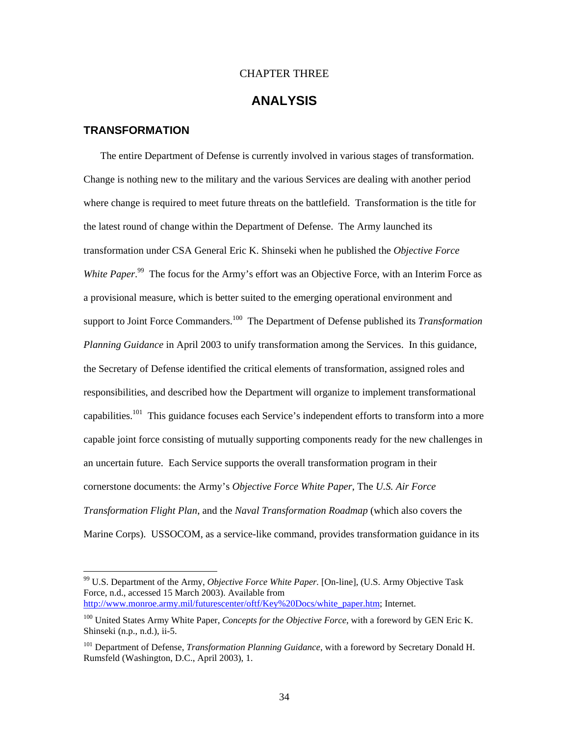#### CHAPTER THREE

## **ANALYSIS**

#### <span id="page-41-0"></span>**TRANSFORMATION**

The entire Department of Defense is currently involved in various stages of transformation. Change is nothing new to the military and the various Services are dealing with another period where change is required to meet future threats on the battlefield. Transformation is the title for the latest round of change within the Department of Defense. The Army launched its transformation under CSA General Eric K. Shinseki when he published the *Objective Force*  White Paper.<sup>99</sup> The focus for the Army's effort was an Objective Force, with an Interim Force as a provisional measure, which is better suited to the emerging operational environment and support to Joint Force Commanders.<sup>100</sup> The Department of Defense published its *Transformation Planning Guidance* in April 2003 to unify transformation among the Services. In this guidance, the Secretary of Defense identified the critical elements of transformation, assigned roles and responsibilities, and described how the Department will organize to implement transformational capabilities.<sup>101</sup> This guidance focuses each Service's independent efforts to transform into a more capable joint force consisting of mutually supporting components ready for the new challenges in an uncertain future. Each Service supports the overall transformation program in their cornerstone documents: the Army's *Objective Force White Paper*, The *U.S. Air Force Transformation Flight Plan*, and the *Naval Transformation Roadmap* (which also covers the Marine Corps). USSOCOM, as a service-like command, provides transformation guidance in its

<span id="page-41-1"></span> <sup>99</sup> U.S. Department of the Army, *Objective Force White Paper.* [On-line], (U.S. Army Objective Task Force, n.d., accessed 15 March 2003). Available from [http://www.monroe.army.mil/futurescenter/oftf/Key%20Docs/white\\_paper.htm;](http://www.monroe.army.mil/futurescenter/oftf/Key Docs/white_paper.htm) Internet.

<span id="page-41-2"></span><sup>&</sup>lt;sup>100</sup> United States Army White Paper, *Concepts for the Objective Force*, with a foreword by GEN Eric K. Shinseki (n.p., n.d.), ii-5.

<span id="page-41-3"></span><sup>&</sup>lt;sup>101</sup> Department of Defense, *Transformation Planning Guidance*, with a foreword by Secretary Donald H. Rumsfeld (Washington, D.C., April 2003), 1.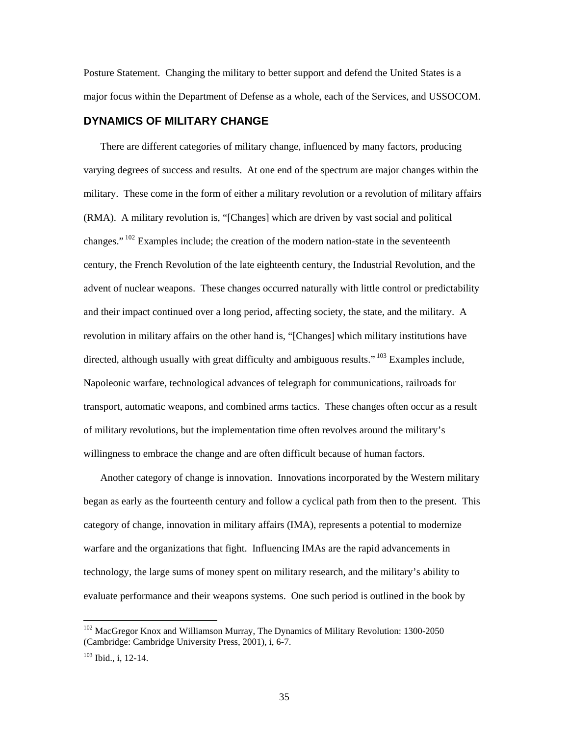<span id="page-42-0"></span>Posture Statement. Changing the military to better support and defend the United States is a major focus within the Department of Defense as a whole, each of the Services, and USSOCOM.

#### **DYNAMICS OF MILITARY CHANGE**

There are different categories of military change, influenced by many factors, producing varying degrees of success and results. At one end of the spectrum are major changes within the military. These come in the form of either a military revolution or a revolution of military affairs (RMA). A military revolution is, "[Changes] which are driven by vast social and political changes." <sup>102</sup> Examples include; the creation of the modern nation-state in the seventeenth century, the French Revolution of the late eighteenth century, the Industrial Revolution, and the advent of nuclear weapons. These changes occurred naturally with little control or predictability and their impact continued over a long period, affecting society, the state, and the military. A revolution in military affairs on the other hand is, "[Changes] which military institutions have directed, although usually with great difficulty and ambiguous results."  $103$  Examples include, Napoleonic warfare, technological advances of telegraph for communications, railroads for transport, automatic weapons, and combined arms tactics. These changes often occur as a result of military revolutions, but the implementation time often revolves around the military's willingness to embrace the change and are often difficult because of human factors.

Another category of change is innovation. Innovations incorporated by the Western military began as early as the fourteenth century and follow a cyclical path from then to the present. This category of change, innovation in military affairs (IMA), represents a potential to modernize warfare and the organizations that fight. Influencing IMAs are the rapid advancements in technology, the large sums of money spent on military research, and the military's ability to evaluate performance and their weapons systems. One such period is outlined in the book by

<span id="page-42-1"></span><sup>&</sup>lt;sup>102</sup> MacGregor Knox and Williamson Murray, The Dynamics of Military Revolution: 1300-2050 (Cambridge: Cambridge University Press, 2001), i, 6-7.

<span id="page-42-2"></span><sup>103</sup> Ibid., i, 12-14.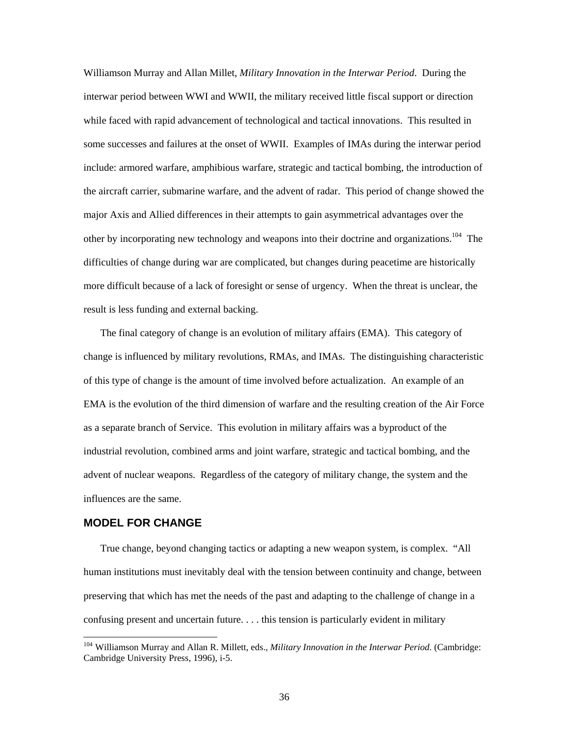<span id="page-43-0"></span>Williamson Murray and Allan Millet, *Military Innovation in the Interwar Period*. During the interwar period between WWI and WWII, the military received little fiscal support or direction while faced with rapid advancement of technological and tactical innovations. This resulted in some successes and failures at the onset of WWII. Examples of IMAs during the interwar period include: armored warfare, amphibious warfare, strategic and tactical bombing, the introduction of the aircraft carrier, submarine warfare, and the advent of radar. This period of change showed the major Axis and Allied differences in their attempts to gain asymmetrical advantages over the other by incorporating new technology and weapons into their doctrine and organizations.<sup>104</sup> The difficulties of change during war are complicated, but changes during peacetime are historically more difficult because of a lack of foresight or sense of urgency. When the threat is unclear, the result is less funding and external backing.

The final category of change is an evolution of military affairs (EMA). This category of change is influenced by military revolutions, RMAs, and IMAs. The distinguishing characteristic of this type of change is the amount of time involved before actualization. An example of an EMA is the evolution of the third dimension of warfare and the resulting creation of the Air Force as a separate branch of Service. This evolution in military affairs was a byproduct of the industrial revolution, combined arms and joint warfare, strategic and tactical bombing, and the advent of nuclear weapons. Regardless of the category of military change, the system and the influences are the same.

#### **MODEL FOR CHANGE**

True change, beyond changing tactics or adapting a new weapon system, is complex. "All human institutions must inevitably deal with the tension between continuity and change, between preserving that which has met the needs of the past and adapting to the challenge of change in a confusing present and uncertain future. . . . this tension is particularly evident in military

<span id="page-43-1"></span> <sup>104</sup> Williamson Murray and Allan R. Millett, eds., *Military Innovation in the Interwar Period*. (Cambridge: Cambridge University Press, 1996), i-5.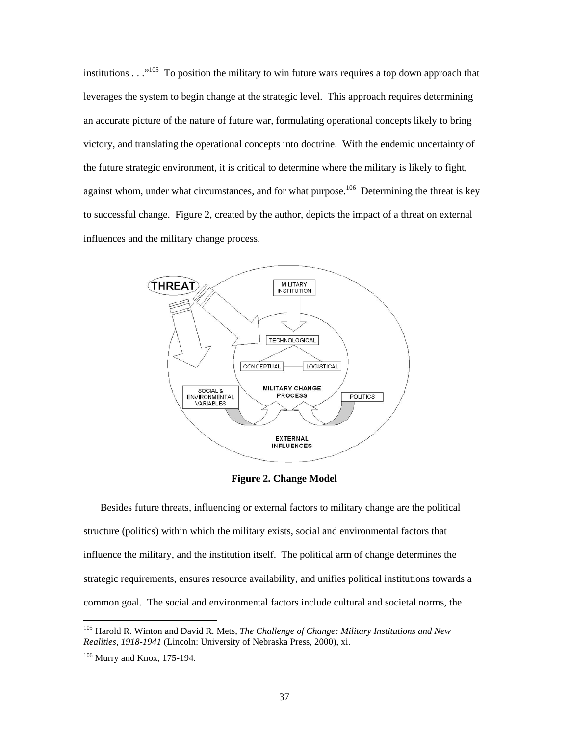<span id="page-44-0"></span>institutions  $\ldots$ <sup>105</sup> To position the military to win future wars requires a top down approach that leverages the system to begin change at the strategic level. This approach requires determining an accurate picture of the nature of future war, formulating operational concepts likely to bring victory, and translating the operational concepts into doctrine. With the endemic uncertainty of the future strategic environment, it is critical to determine where the military is likely to fight, against whom, under what circumstances, and for what purpose.<sup>106</sup> Determining the threat is key to successful change. Figure 2, created by the author, depicts the impact of a threat on external influences and the military change process.



**Figure 2. Change Model** 

Besides future threats, influencing or external factors to military change are the political structure (politics) within which the military exists, social and environmental factors that influence the military, and the institution itself. The political arm of change determines the strategic requirements, ensures resource availability, and unifies political institutions towards a common goal. The social and environmental factors include cultural and societal norms, the

<span id="page-44-1"></span> <sup>105</sup> Harold R. Winton and David R. Mets, *The Challenge of Change: Military Institutions and New Realities, 1918-1941* (Lincoln: University of Nebraska Press, 2000), xi.

<span id="page-44-2"></span><sup>106</sup> Murry and Knox, 175-194.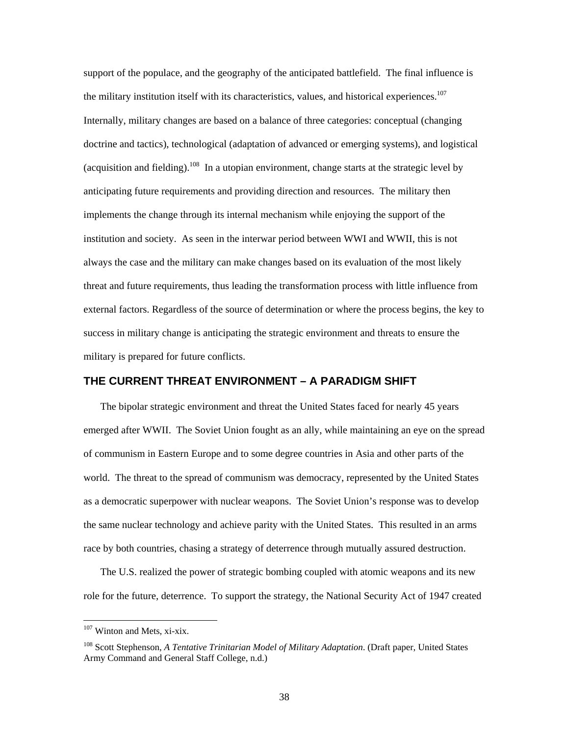<span id="page-45-0"></span>support of the populace, and the geography of the anticipated battlefield. The final influence is the military institution itself with its characteristics, values, and historical experiences.<sup>107</sup> Internally, military changes are based on a balance of three categories: conceptual (changing doctrine and tactics), technological (adaptation of advanced or emerging systems), and logistical (acquisition and fielding).<sup>108</sup> In a utopian environment, change starts at the strategic level by anticipating future requirements and providing direction and resources. The military then implements the change through its internal mechanism while enjoying the support of the institution and society. As seen in the interwar period between WWI and WWII, this is not always the case and the military can make changes based on its evaluation of the most likely threat and future requirements, thus leading the transformation process with little influence from external factors. Regardless of the source of determination or where the process begins, the key to success in military change is anticipating the strategic environment and threats to ensure the military is prepared for future conflicts.

#### **THE CURRENT THREAT ENVIRONMENT – A PARADIGM SHIFT**

The bipolar strategic environment and threat the United States faced for nearly 45 years emerged after WWII. The Soviet Union fought as an ally, while maintaining an eye on the spread of communism in Eastern Europe and to some degree countries in Asia and other parts of the world. The threat to the spread of communism was democracy, represented by the United States as a democratic superpower with nuclear weapons. The Soviet Union's response was to develop the same nuclear technology and achieve parity with the United States. This resulted in an arms race by both countries, chasing a strategy of deterrence through mutually assured destruction.

The U.S. realized the power of strategic bombing coupled with atomic weapons and its new role for the future, deterrence. To support the strategy, the National Security Act of 1947 created

<span id="page-45-1"></span><sup>&</sup>lt;sup>107</sup> Winton and Mets, xi-xix.

<span id="page-45-2"></span><sup>108</sup> Scott Stephenson, *A Tentative Trinitarian Model of Military Adaptation*. (Draft paper, United States Army Command and General Staff College, n.d.)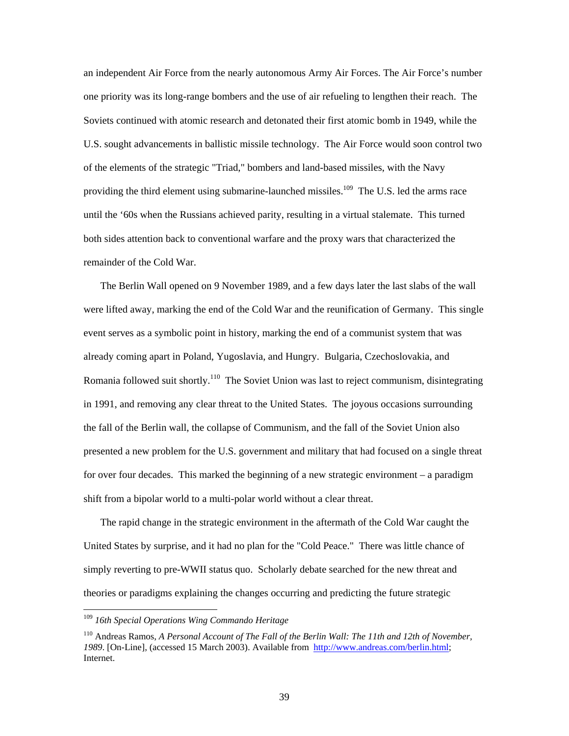an independent Air Force from the nearly autonomous Army Air Forces. The Air Force's number one priority was its long-range bombers and the use of air refueling to lengthen their reach. The Soviets continued with atomic research and detonated their first atomic bomb in 1949, while the U.S. sought advancements in ballistic missile technology. The Air Force would soon control two of the elements of the strategic "Triad," bombers and land-based missiles, with the Navy providing the third element using submarine-launched missiles.<sup>109</sup> The U.S. led the arms race until the '60s when the Russians achieved parity, resulting in a virtual stalemate. This turned both sides attention back to conventional warfare and the proxy wars that characterized the remainder of the Cold War.

The Berlin Wall opened on 9 November 1989, and a few days later the last slabs of the wall were lifted away, marking the end of the Cold War and the reunification of Germany. This single event serves as a symbolic point in history, marking the end of a communist system that was already coming apart in Poland, Yugoslavia, and Hungry. Bulgaria, Czechoslovakia, and Romania followed suit shortly.<sup>110</sup> The Soviet Union was last to reject communism, disintegrating in 1991, and removing any clear threat to the United States. The joyous occasions surrounding the fall of the Berlin wall, the collapse of Communism, and the fall of the Soviet Union also presented a new problem for the U.S. government and military that had focused on a single threat for over four decades. This marked the beginning of a new strategic environment – a paradigm shift from a bipolar world to a multi-polar world without a clear threat.

The rapid change in the strategic environment in the aftermath of the Cold War caught the United States by surprise, and it had no plan for the "Cold Peace." There was little chance of simply reverting to pre-WWII status quo. Scholarly debate searched for the new threat and theories or paradigms explaining the changes occurring and predicting the future strategic

<span id="page-46-0"></span> <sup>109</sup> *16th Special Operations Wing Commando Heritage*

<span id="page-46-1"></span><sup>110</sup> Andreas Ramos, *A Personal Account of The Fall of the Berlin Wall: The 11th and 12th of November, 1989*. [On-Line], (accessed 15 March 2003). Available from <http://www.andreas.com/berlin.html>; Internet.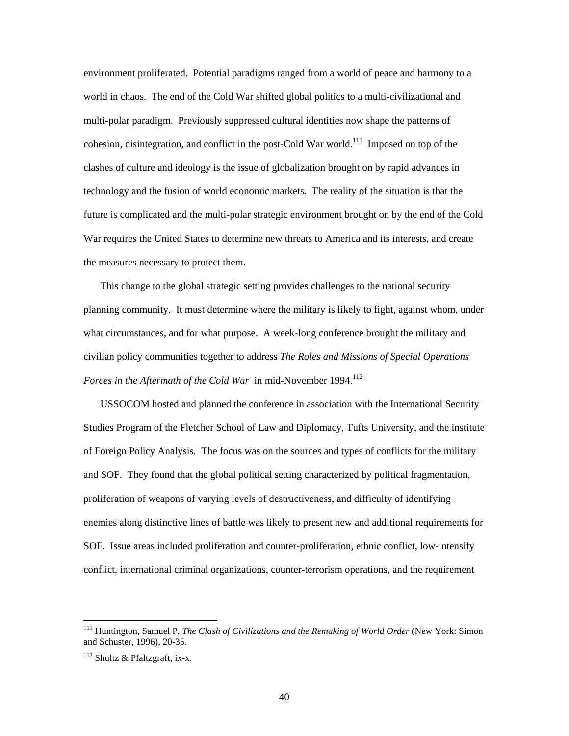environment proliferated. Potential paradigms ranged from a world of peace and harmony to a world in chaos. The end of the Cold War shifted global politics to a multi-civilizational and multi-polar paradigm. Previously suppressed cultural identities now shape the patterns of cohesion, disintegration, and conflict in the post-Cold War world.<sup>111</sup> Imposed on top of the clashes of culture and ideology is the issue of globalization brought on by rapid advances in technology and the fusion of world economic markets. The reality of the situation is that the future is complicated and the multi-polar strategic environment brought on by the end of the Cold War requires the United States to determine new threats to America and its interests, and create the measures necessary to protect them.

This change to the global strategic setting provides challenges to the national security planning community. It must determine where the military is likely to fight, against whom, under what circumstances, and for what purpose. A week-long conference brought the military and civilian policy communities together to address *The Roles and Missions of Special Operations Forces in the Aftermath of the Cold War* in mid-November 1994.<sup>[112](#page-47-1)</sup>

USSOCOM hosted and planned the conference in association with the International Security Studies Program of the Fletcher School of Law and Diplomacy, Tufts University, and the institute of Foreign Policy Analysis. The focus was on the sources and types of conflicts for the military and SOF. They found that the global political setting characterized by political fragmentation, proliferation of weapons of varying levels of destructiveness, and difficulty of identifying enemies along distinctive lines of battle was likely to present new and additional requirements for SOF. Issue areas included proliferation and counter-proliferation, ethnic conflict, low-intensify conflict, international criminal organizations, counter-terrorism operations, and the requirement

<span id="page-47-0"></span> <sup>111</sup> Huntington, Samuel P, *The Clash of Civilizations and the Remaking of World Order* (New York: Simon and Schuster, 1996), 20-35.

<span id="page-47-1"></span> $112$  Shultz & Pfaltzgraft, ix-x.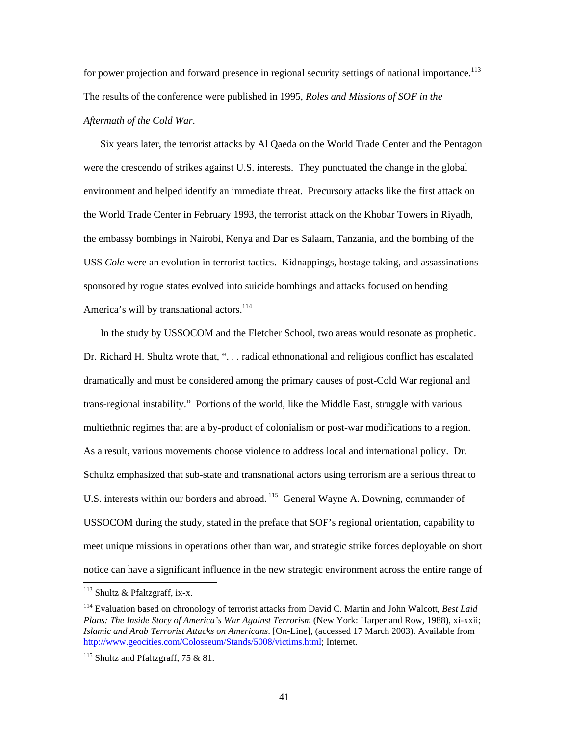for power projection and forward presence in regional security settings of national importance.<sup>113</sup> The results of the conference were published in 1995, *Roles and Missions of SOF in the Aftermath of the Cold War*.

Six years later, the terrorist attacks by Al Qaeda on the World Trade Center and the Pentagon were the crescendo of strikes against U.S. interests. They punctuated the change in the global environment and helped identify an immediate threat. Precursory attacks like the first attack on the World Trade Center in February 1993, the terrorist attack on the Khobar Towers in Riyadh, the embassy bombings in Nairobi, Kenya and Dar es Salaam, Tanzania, and the bombing of the USS *Cole* were an evolution in terrorist tactics. Kidnappings, hostage taking, and assassinations sponsored by rogue states evolved into suicide bombings and attacks focused on bending America's will by transnational actors.<sup>114</sup>

In the study by USSOCOM and the Fletcher School, two areas would resonate as prophetic. Dr. Richard H. Shultz wrote that, ". . . radical ethnonational and religious conflict has escalated dramatically and must be considered among the primary causes of post-Cold War regional and trans-regional instability." Portions of the world, like the Middle East, struggle with various multiethnic regimes that are a by-product of colonialism or post-war modifications to a region. As a result, various movements choose violence to address local and international policy. Dr. Schultz emphasized that sub-state and transnational actors using terrorism are a serious threat to U.S. interests within our borders and abroad. <sup>115</sup> General Wayne A. Downing, commander of USSOCOM during the study, stated in the preface that SOF's regional orientation, capability to meet unique missions in operations other than war, and strategic strike forces deployable on short notice can have a significant influence in the new strategic environment across the entire range of

<span id="page-48-0"></span> $113$  Shultz & Pfaltzgraff, ix-x.

<span id="page-48-1"></span><sup>114</sup> Evaluation based on chronology of terrorist attacks from David C. Martin and John Walcott, *Best Laid Plans: The Inside Story of America's War Against Terrorism* (New York: Harper and Row, 1988), xi-xxii; *Islamic and Arab Terrorist Attacks on Americans*. [On-Line], (accessed 17 March 2003). Available from [http://www.geocities.com/Colosseum/Stands/5008/victims.html;](http://www.geocities.com/Colosseum/Stands/5008/victims.html) Internet.

<span id="page-48-2"></span> $115$  Shultz and Pfaltzgraff, 75 & 81.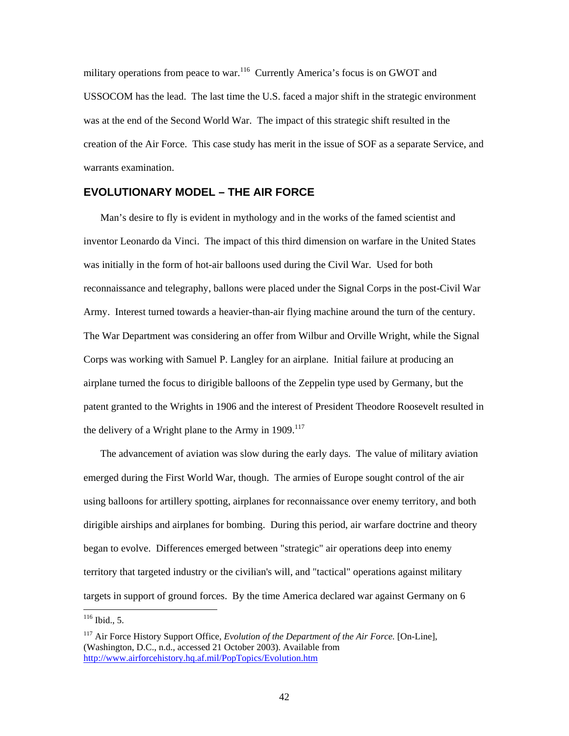<span id="page-49-0"></span>military operations from peace to war.<sup>116</sup> Currently America's focus is on GWOT and USSOCOM has the lead. The last time the U.S. faced a major shift in the strategic environment was at the end of the Second World War. The impact of this strategic shift resulted in the creation of the Air Force. This case study has merit in the issue of SOF as a separate Service, and warrants examination.

#### **EVOLUTIONARY MODEL – THE AIR FORCE**

Man's desire to fly is evident in mythology and in the works of the famed scientist and inventor Leonardo da Vinci. The impact of this third dimension on warfare in the United States was initially in the form of hot-air balloons used during the Civil War. Used for both reconnaissance and telegraphy, ballons were placed under the Signal Corps in the post-Civil War Army. Interest turned towards a heavier-than-air flying machine around the turn of the century. The War Department was considering an offer from Wilbur and Orville Wright, while the Signal Corps was working with Samuel P. Langley for an airplane. Initial failure at producing an airplane turned the focus to dirigible balloons of the Zeppelin type used by Germany, but the patent granted to the Wrights in 1906 and the interest of President Theodore Roosevelt resulted in the delivery of a Wright plane to the Army in  $1909$ <sup>[117](#page-49-2)</sup>

The advancement of aviation was slow during the early days. The value of military aviation emerged during the First World War, though. The armies of Europe sought control of the air using balloons for artillery spotting, airplanes for reconnaissance over enemy territory, and both dirigible airships and airplanes for bombing. During this period, air warfare doctrine and theory began to evolve. Differences emerged between "strategic" air operations deep into enemy territory that targeted industry or the civilian's will, and "tactical" operations against military targets in support of ground forces. By the time America declared war against Germany on 6

<span id="page-49-1"></span> $116$  Ibid., 5.

<span id="page-49-2"></span><sup>117</sup> Air Force History Support Office, *Evolution of the Department of the Air Force.* [On-Line], (Washington, D.C., n.d., accessed 21 October 2003). Available from http://www.airforcehistory.hq.af.mil/PopTopics/Evolution.htm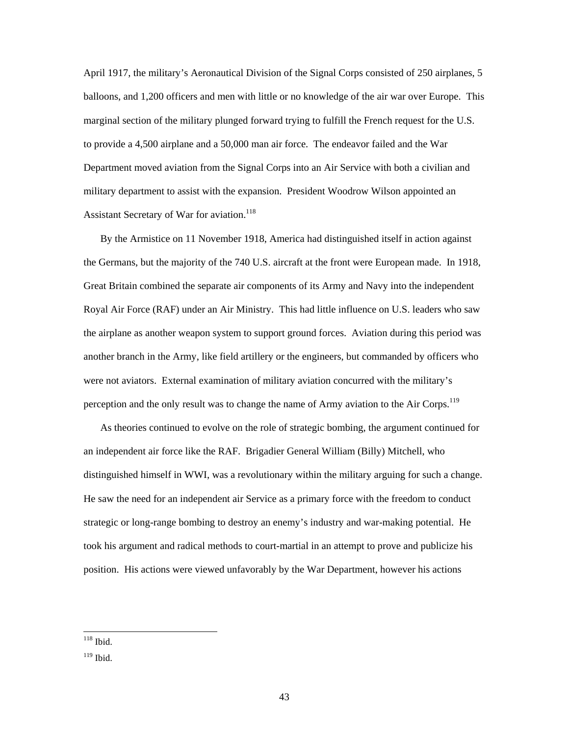April 1917, the military's Aeronautical Division of the Signal Corps consisted of 250 airplanes, 5 balloons, and 1,200 officers and men with little or no knowledge of the air war over Europe. This marginal section of the military plunged forward trying to fulfill the French request for the U.S. to provide a 4,500 airplane and a 50,000 man air force. The endeavor failed and the War Department moved aviation from the Signal Corps into an Air Service with both a civilian and military department to assist with the expansion. President Woodrow Wilson appointed an Assistant Secretary of War for aviation.<sup>[118](#page-50-0)</sup>

By the Armistice on 11 November 1918, America had distinguished itself in action against the Germans, but the majority of the 740 U.S. aircraft at the front were European made. In 1918, Great Britain combined the separate air components of its Army and Navy into the independent Royal Air Force (RAF) under an Air Ministry. This had little influence on U.S. leaders who saw the airplane as another weapon system to support ground forces. Aviation during this period was another branch in the Army, like field artillery or the engineers, but commanded by officers who were not aviators. External examination of military aviation concurred with the military's perception and the only result was to change the name of Army aviation to the Air Corps.<sup>[119](#page-50-1)</sup>

As theories continued to evolve on the role of strategic bombing, the argument continued for an independent air force like the RAF. Brigadier General William (Billy) Mitchell, who distinguished himself in WWI, was a revolutionary within the military arguing for such a change. He saw the need for an independent air Service as a primary force with the freedom to conduct strategic or long-range bombing to destroy an enemy's industry and war-making potential. He took his argument and radical methods to court-martial in an attempt to prove and publicize his position. His actions were viewed unfavorably by the War Department, however his actions

<span id="page-50-0"></span> $118$  Ibid.

<span id="page-50-1"></span><sup>119</sup> Ibid.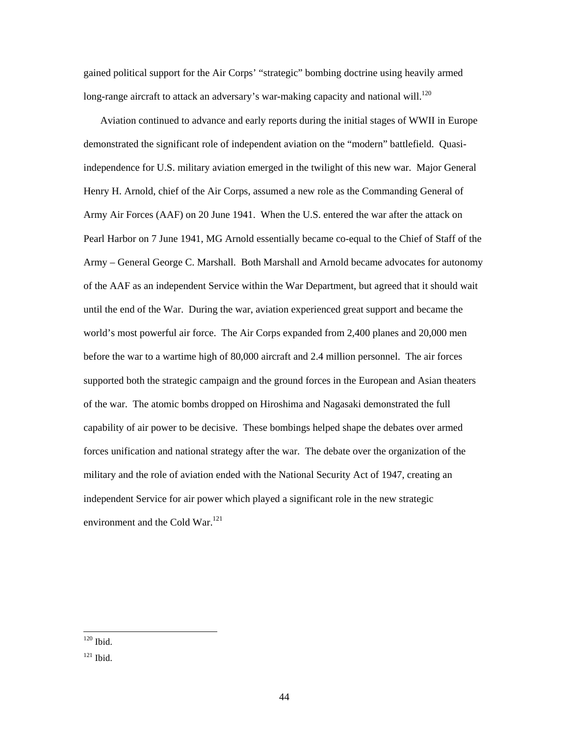gained political support for the Air Corps' "strategic" bombing doctrine using heavily armed long-range aircraft to attack an adversary's war-making capacity and national will.<sup>[120](#page-51-0)</sup>

Aviation continued to advance and early reports during the initial stages of WWII in Europe demonstrated the significant role of independent aviation on the "modern" battlefield. Quasiindependence for U.S. military aviation emerged in the twilight of this new war. Major General Henry H. Arnold, chief of the Air Corps, assumed a new role as the Commanding General of Army Air Forces (AAF) on 20 June 1941. When the U.S. entered the war after the attack on Pearl Harbor on 7 June 1941, MG Arnold essentially became co-equal to the Chief of Staff of the Army – General George C. Marshall. Both Marshall and Arnold became advocates for autonomy of the AAF as an independent Service within the War Department, but agreed that it should wait until the end of the War. During the war, aviation experienced great support and became the world's most powerful air force. The Air Corps expanded from 2,400 planes and 20,000 men before the war to a wartime high of 80,000 aircraft and 2.4 million personnel. The air forces supported both the strategic campaign and the ground forces in the European and Asian theaters of the war. The atomic bombs dropped on Hiroshima and Nagasaki demonstrated the full capability of air power to be decisive. These bombings helped shape the debates over armed forces unification and national strategy after the war. The debate over the organization of the military and the role of aviation ended with the National Security Act of 1947, creating an independent Service for air power which played a significant role in the new strategic environment and the Cold War.<sup>121</sup>

<span id="page-51-0"></span> $120$  Ibid.

<span id="page-51-1"></span> $121$  Ibid.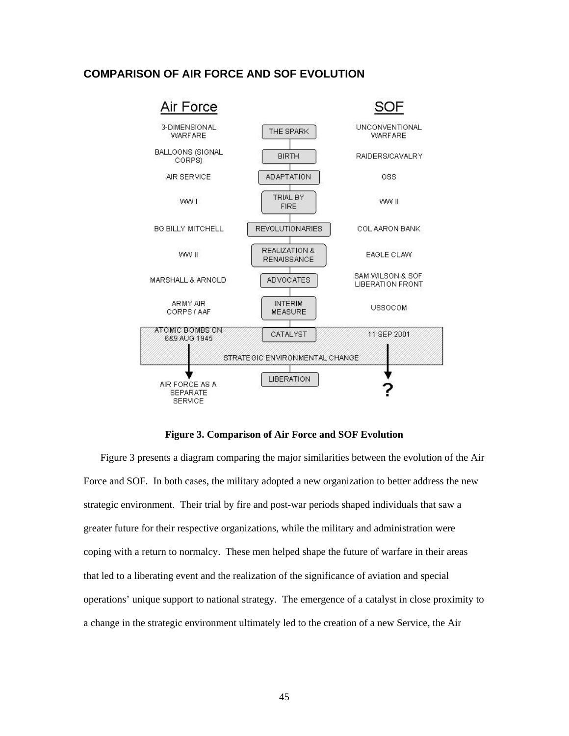### <span id="page-52-0"></span>**COMPARISON OF AIR FORCE AND SOF EVOLUTION**



**Figure 3. Comparison of Air Force and SOF Evolution** 

Figure 3 presents a diagram comparing the major similarities between the evolution of the Air Force and SOF. In both cases, the military adopted a new organization to better address the new strategic environment. Their trial by fire and post-war periods shaped individuals that saw a greater future for their respective organizations, while the military and administration were coping with a return to normalcy. These men helped shape the future of warfare in their areas that led to a liberating event and the realization of the significance of aviation and special operations' unique support to national strategy. The emergence of a catalyst in close proximity to a change in the strategic environment ultimately led to the creation of a new Service, the Air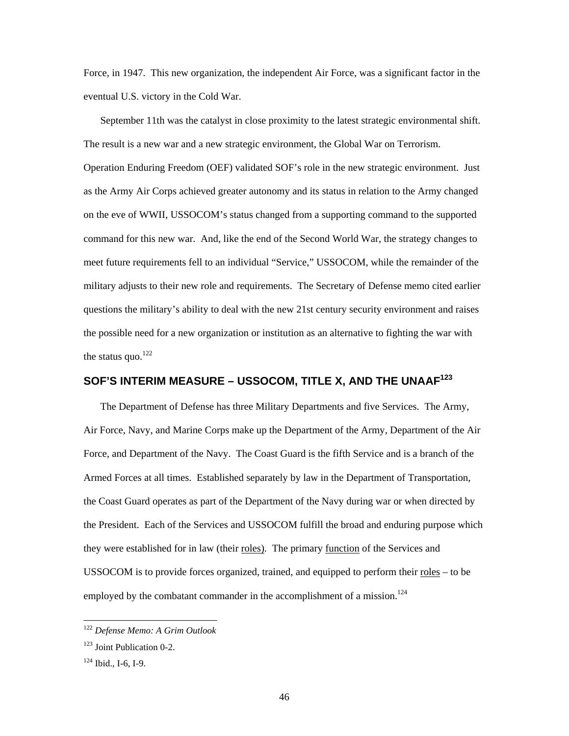<span id="page-53-0"></span>Force, in 1947. This new organization, the independent Air Force, was a significant factor in the eventual U.S. victory in the Cold War.

September 11th was the catalyst in close proximity to the latest strategic environmental shift. The result is a new war and a new strategic environment, the Global War on Terrorism. Operation Enduring Freedom (OEF) validated SOF's role in the new strategic environment. Just as the Army Air Corps achieved greater autonomy and its status in relation to the Army changed on the eve of WWII, USSOCOM's status changed from a supporting command to the supported command for this new war. And, like the end of the Second World War, the strategy changes to meet future requirements fell to an individual "Service," USSOCOM, while the remainder of the military adjusts to their new role and requirements. The Secretary of Defense memo cited earlier questions the military's ability to deal with the new 21st century security environment and raises the possible need for a new organization or institution as an alternative to fighting the war with the status quo. $^{122}$ 

## **SOF'S INTERIM MEASURE – USSOCOM, TITLE X, AND THE UNAAF[123](#page-53-2)**

The Department of Defense has three Military Departments and five Services. The Army, Air Force, Navy, and Marine Corps make up the Department of the Army, Department of the Air Force, and Department of the Navy. The Coast Guard is the fifth Service and is a branch of the Armed Forces at all times. Established separately by law in the Department of Transportation, the Coast Guard operates as part of the Department of the Navy during war or when directed by the President. Each of the Services and USSOCOM fulfill the broad and enduring purpose which they were established for in law (their roles). The primary function of the Services and USSOCOM is to provide forces organized, trained, and equipped to perform their  $roles – to be$ </u> employed by the combatant commander in the accomplishment of a mission.<sup>[124](#page-53-3)</sup>

<span id="page-53-1"></span> <sup>122</sup> *Defense Memo: A Grim Outlook* 

<span id="page-53-2"></span><sup>&</sup>lt;sup>123</sup> Joint Publication 0-2.

<span id="page-53-3"></span> $124$  Ibid., I-6, I-9.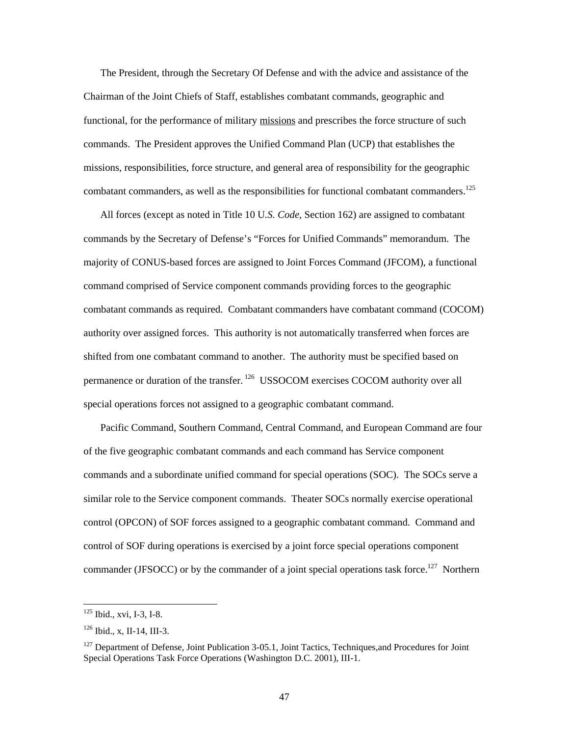The President, through the Secretary Of Defense and with the advice and assistance of the Chairman of the Joint Chiefs of Staff, establishes combatant commands, geographic and functional, for the performance of military missions and prescribes the force structure of such commands. The President approves the Unified Command Plan (UCP) that establishes the missions, responsibilities, force structure, and general area of responsibility for the geographic combatant commanders, as well as the responsibilities for functional combatant commanders.<sup>125</sup>

All forces (except as noted in Title 10 U*.S. Code*, Section 162) are assigned to combatant commands by the Secretary of Defense's "Forces for Unified Commands" memorandum. The majority of CONUS-based forces are assigned to Joint Forces Command (JFCOM), a functional command comprised of Service component commands providing forces to the geographic combatant commands as required. Combatant commanders have combatant command (COCOM) authority over assigned forces. This authority is not automatically transferred when forces are shifted from one combatant command to another. The authority must be specified based on permanence or duration of the transfer.<sup>126</sup> USSOCOM exercises COCOM authority over all special operations forces not assigned to a geographic combatant command.

Pacific Command, Southern Command, Central Command, and European Command are four of the five geographic combatant commands and each command has Service component commands and a subordinate unified command for special operations (SOC). The SOCs serve a similar role to the Service component commands. Theater SOCs normally exercise operational control (OPCON) of SOF forces assigned to a geographic combatant command. Command and control of SOF during operations is exercised by a joint force special operations component commander (JFSOCC) or by the commander of a joint special operations task force.<sup>127</sup> Northern

<span id="page-54-0"></span> <sup>125</sup> Ibid., xvi, I-3, I-8.

<span id="page-54-1"></span> $126$  Ibid., x, II-14, III-3.

<span id="page-54-2"></span><sup>&</sup>lt;sup>127</sup> Department of Defense, Joint Publication 3-05.1, Joint Tactics, Techniques, and Procedures for Joint Special Operations Task Force Operations (Washington D.C. 2001), III-1.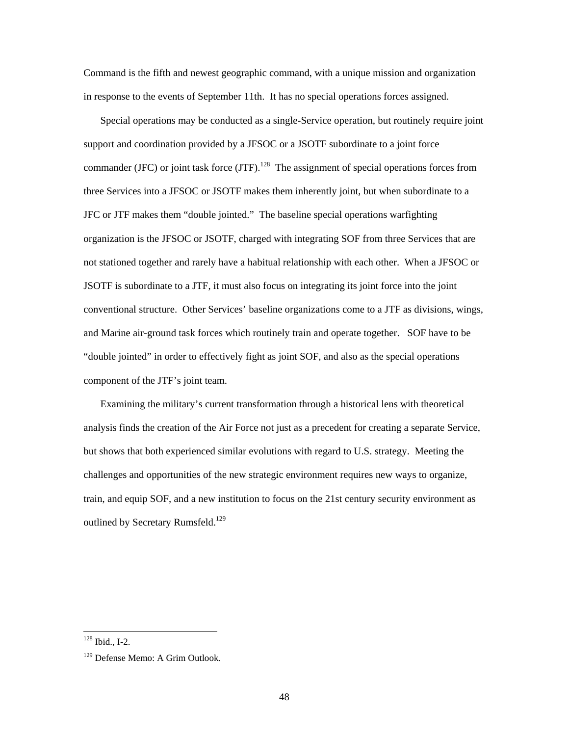Command is the fifth and newest geographic command, with a unique mission and organization in response to the events of September 11th. It has no special operations forces assigned.

Special operations may be conducted as a single-Service operation, but routinely require joint support and coordination provided by a JFSOC or a JSOTF subordinate to a joint force commander (JFC) or joint task force (JTF).<sup>128</sup> The assignment of special operations forces from three Services into a JFSOC or JSOTF makes them inherently joint, but when subordinate to a JFC or JTF makes them "double jointed." The baseline special operations warfighting organization is the JFSOC or JSOTF, charged with integrating SOF from three Services that are not stationed together and rarely have a habitual relationship with each other. When a JFSOC or JSOTF is subordinate to a JTF, it must also focus on integrating its joint force into the joint conventional structure. Other Services' baseline organizations come to a JTF as divisions, wings, and Marine air-ground task forces which routinely train and operate together. SOF have to be "double jointed" in order to effectively fight as joint SOF, and also as the special operations component of the JTF's joint team.

Examining the military's current transformation through a historical lens with theoretical analysis finds the creation of the Air Force not just as a precedent for creating a separate Service, but shows that both experienced similar evolutions with regard to U.S. strategy. Meeting the challenges and opportunities of the new strategic environment requires new ways to organize, train, and equip SOF, and a new institution to focus on the 21st century security environment as outlined by Secretary Rumsfeld.<sup>[129](#page-55-1)</sup>

<span id="page-55-0"></span> $128$  Ibid., I-2.

<span id="page-55-1"></span><sup>&</sup>lt;sup>129</sup> Defense Memo: A Grim Outlook.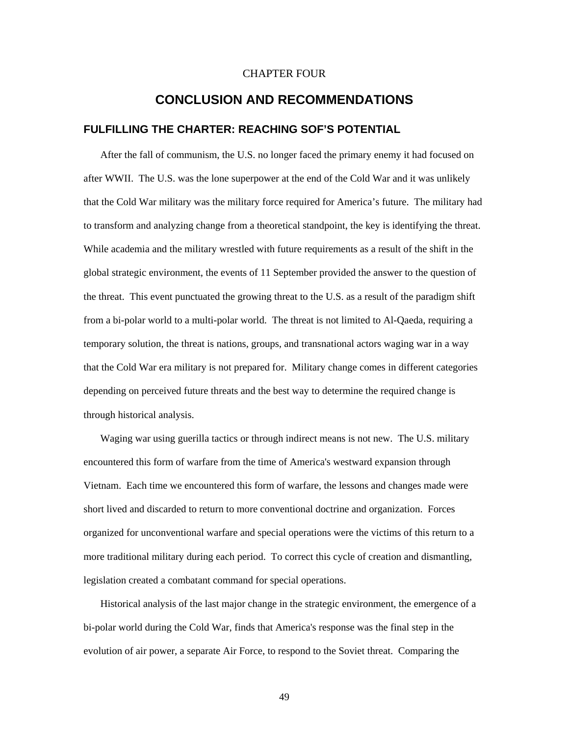#### CHAPTER FOUR

### **CONCLUSION AND RECOMMENDATIONS**

#### <span id="page-56-0"></span>**FULFILLING THE CHARTER: REACHING SOF'S POTENTIAL**

After the fall of communism, the U.S. no longer faced the primary enemy it had focused on after WWII. The U.S. was the lone superpower at the end of the Cold War and it was unlikely that the Cold War military was the military force required for America's future. The military had to transform and analyzing change from a theoretical standpoint, the key is identifying the threat. While academia and the military wrestled with future requirements as a result of the shift in the global strategic environment, the events of 11 September provided the answer to the question of the threat. This event punctuated the growing threat to the U.S. as a result of the paradigm shift from a bi-polar world to a multi-polar world. The threat is not limited to Al-Qaeda, requiring a temporary solution, the threat is nations, groups, and transnational actors waging war in a way that the Cold War era military is not prepared for. Military change comes in different categories depending on perceived future threats and the best way to determine the required change is through historical analysis.

Waging war using guerilla tactics or through indirect means is not new. The U.S. military encountered this form of warfare from the time of America's westward expansion through Vietnam. Each time we encountered this form of warfare, the lessons and changes made were short lived and discarded to return to more conventional doctrine and organization. Forces organized for unconventional warfare and special operations were the victims of this return to a more traditional military during each period. To correct this cycle of creation and dismantling, legislation created a combatant command for special operations.

Historical analysis of the last major change in the strategic environment, the emergence of a bi-polar world during the Cold War, finds that America's response was the final step in the evolution of air power, a separate Air Force, to respond to the Soviet threat. Comparing the

49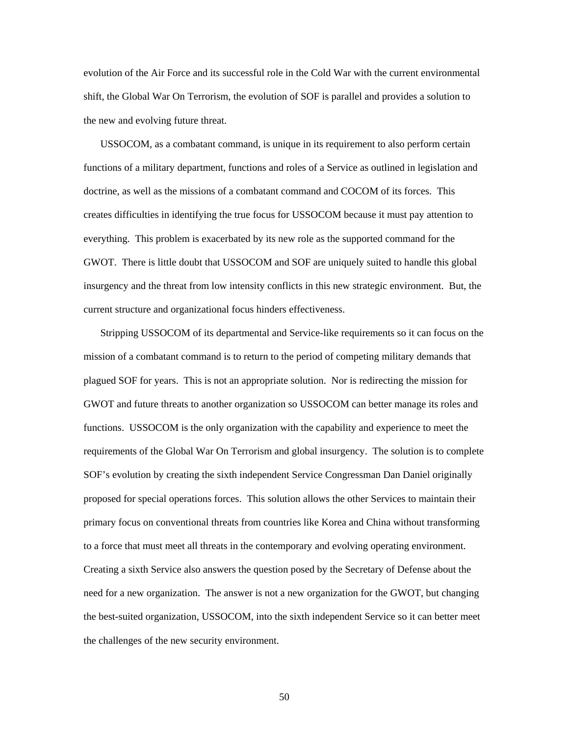evolution of the Air Force and its successful role in the Cold War with the current environmental shift, the Global War On Terrorism, the evolution of SOF is parallel and provides a solution to the new and evolving future threat.

USSOCOM, as a combatant command, is unique in its requirement to also perform certain functions of a military department, functions and roles of a Service as outlined in legislation and doctrine, as well as the missions of a combatant command and COCOM of its forces. This creates difficulties in identifying the true focus for USSOCOM because it must pay attention to everything. This problem is exacerbated by its new role as the supported command for the GWOT. There is little doubt that USSOCOM and SOF are uniquely suited to handle this global insurgency and the threat from low intensity conflicts in this new strategic environment. But, the current structure and organizational focus hinders effectiveness.

Stripping USSOCOM of its departmental and Service-like requirements so it can focus on the mission of a combatant command is to return to the period of competing military demands that plagued SOF for years. This is not an appropriate solution. Nor is redirecting the mission for GWOT and future threats to another organization so USSOCOM can better manage its roles and functions. USSOCOM is the only organization with the capability and experience to meet the requirements of the Global War On Terrorism and global insurgency. The solution is to complete SOF's evolution by creating the sixth independent Service Congressman Dan Daniel originally proposed for special operations forces. This solution allows the other Services to maintain their primary focus on conventional threats from countries like Korea and China without transforming to a force that must meet all threats in the contemporary and evolving operating environment. Creating a sixth Service also answers the question posed by the Secretary of Defense about the need for a new organization. The answer is not a new organization for the GWOT, but changing the best-suited organization, USSOCOM, into the sixth independent Service so it can better meet the challenges of the new security environment.

50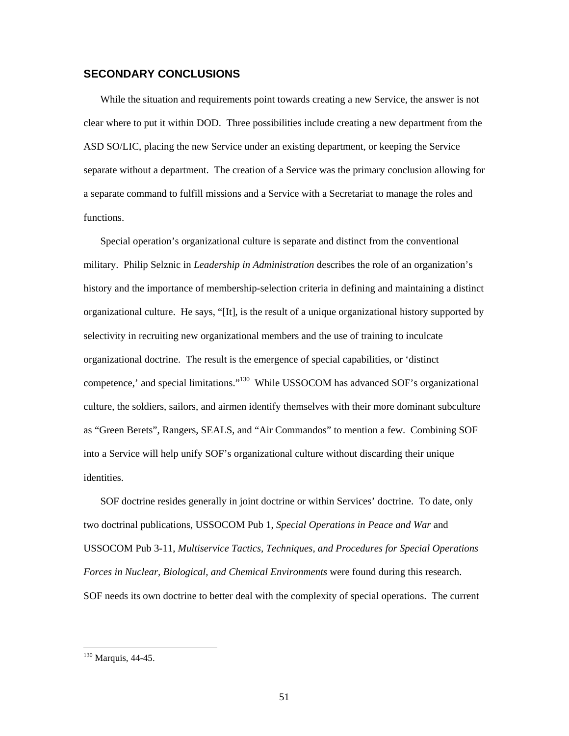#### <span id="page-58-0"></span>**SECONDARY CONCLUSIONS**

While the situation and requirements point towards creating a new Service, the answer is not clear where to put it within DOD. Three possibilities include creating a new department from the ASD SO/LIC, placing the new Service under an existing department, or keeping the Service separate without a department. The creation of a Service was the primary conclusion allowing for a separate command to fulfill missions and a Service with a Secretariat to manage the roles and functions.

Special operation's organizational culture is separate and distinct from the conventional military. Philip Selznic in *Leadership in Administration* describes the role of an organization's history and the importance of membership-selection criteria in defining and maintaining a distinct organizational culture. He says, "[It], is the result of a unique organizational history supported by selectivity in recruiting new organizational members and the use of training to inculcate organizational doctrine. The result is the emergence of special capabilities, or 'distinct competence,' and special limitations."<sup>130</sup> While USSOCOM has advanced SOF's organizational culture, the soldiers, sailors, and airmen identify themselves with their more dominant subculture as "Green Berets", Rangers, SEALS, and "Air Commandos" to mention a few. Combining SOF into a Service will help unify SOF's organizational culture without discarding their unique identities.

SOF doctrine resides generally in joint doctrine or within Services' doctrine. To date, only two doctrinal publications, USSOCOM Pub 1, *Special Operations in Peace and War* and USSOCOM Pub 3-11, *Multiservice Tactics, Techniques, and Procedures for Special Operations Forces in Nuclear, Biological, and Chemical Environments* were found during this research. SOF needs its own doctrine to better deal with the complexity of special operations. The current

<span id="page-58-1"></span><sup>&</sup>lt;sup>130</sup> Marquis, 44-45.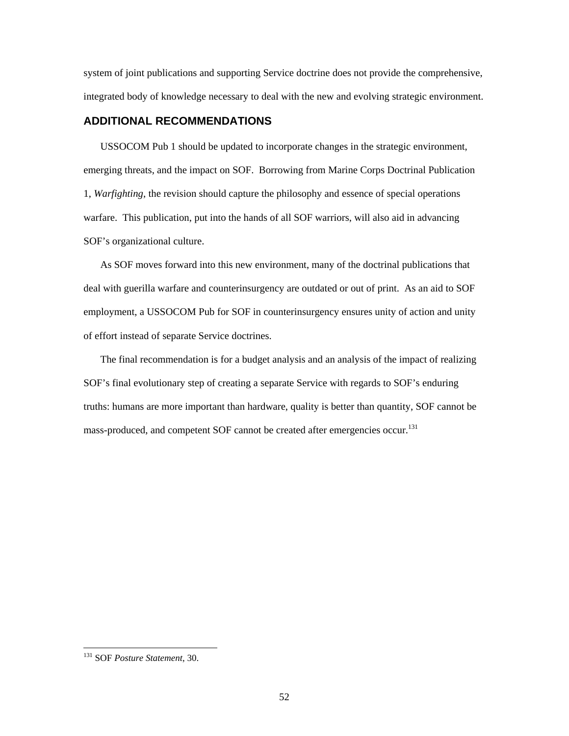<span id="page-59-0"></span>system of joint publications and supporting Service doctrine does not provide the comprehensive, integrated body of knowledge necessary to deal with the new and evolving strategic environment.

#### **ADDITIONAL RECOMMENDATIONS**

USSOCOM Pub 1 should be updated to incorporate changes in the strategic environment, emerging threats, and the impact on SOF. Borrowing from Marine Corps Doctrinal Publication 1, *Warfighting*, the revision should capture the philosophy and essence of special operations warfare. This publication, put into the hands of all SOF warriors, will also aid in advancing SOF's organizational culture.

As SOF moves forward into this new environment, many of the doctrinal publications that deal with guerilla warfare and counterinsurgency are outdated or out of print. As an aid to SOF employment, a USSOCOM Pub for SOF in counterinsurgency ensures unity of action and unity of effort instead of separate Service doctrines.

The final recommendation is for a budget analysis and an analysis of the impact of realizing SOF's final evolutionary step of creating a separate Service with regards to SOF's enduring truths: humans are more important than hardware, quality is better than quantity, SOF cannot be mass-produced, and competent SOF cannot be created after emergencies occur.<sup>[131](#page-59-1)</sup>

<span id="page-59-1"></span> <sup>131</sup> SOF *Posture Statement*, 30.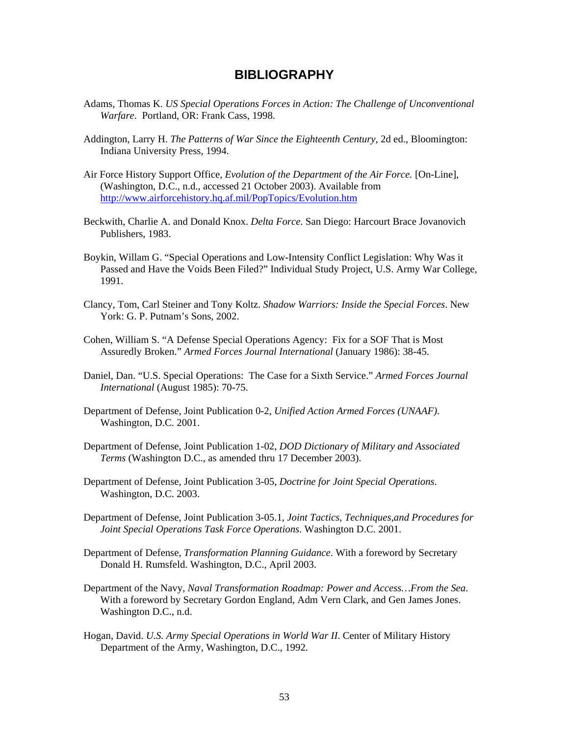## **BIBLIOGRAPHY**

- <span id="page-60-0"></span>Adams, Thomas K. *US Special Operations Forces in Action: The Challenge of Unconventional Warfare*. Portland, OR: Frank Cass, 1998.
- Addington, Larry H. *The Patterns of War Since the Eighteenth Century*, 2d ed., Bloomington: Indiana University Press, 1994.
- Air Force History Support Office, *Evolution of the Department of the Air Force.* [On-Line], (Washington, D.C., n.d., accessed 21 October 2003). Available from http://www.airforcehistory.hq.af.mil/PopTopics/Evolution.htm
- Beckwith, Charlie A. and Donald Knox. *Delta Force*. San Diego: Harcourt Brace Jovanovich Publishers, 1983.
- Boykin, Willam G. "Special Operations and Low-Intensity Conflict Legislation: Why Was it Passed and Have the Voids Been Filed?" Individual Study Project, U.S. Army War College, 1991.
- Clancy, Tom, Carl Steiner and Tony Koltz. *Shadow Warriors: Inside the Special Forces*. New York: G. P. Putnam's Sons, 2002.
- Cohen, William S. "A Defense Special Operations Agency: Fix for a SOF That is Most Assuredly Broken." *Armed Forces Journal International* (January 1986): 38-45.
- Daniel, Dan. "U.S. Special Operations: The Case for a Sixth Service." *Armed Forces Journal International* (August 1985): 70-75.
- Department of Defense, Joint Publication 0-2, *Unified Action Armed Forces (UNAAF)*. Washington, D.C. 2001.
- Department of Defense, Joint Publication 1-02, *DOD Dictionary of Military and Associated Terms* (Washington D.C., as amended thru 17 December 2003).
- Department of Defense, Joint Publication 3-05, *Doctrine for Joint Special Operations*. Washington, D.C. 2003.
- Department of Defense, Joint Publication 3-05.1, *Joint Tactics, Techniques,and Procedures for Joint Special Operations Task Force Operations*. Washington D.C. 2001.
- Department of Defense, *Transformation Planning Guidance*. With a foreword by Secretary Donald H. Rumsfeld. Washington, D.C., April 2003.
- Department of the Navy, *Naval Transformation Roadmap: Power and Access…From the Sea*. With a foreword by Secretary Gordon England, Adm Vern Clark, and Gen James Jones. Washington D.C., n.d.
- Hogan, David. *U.S. Army Special Operations in World War II*. Center of Military History Department of the Army, Washington, D.C., 1992.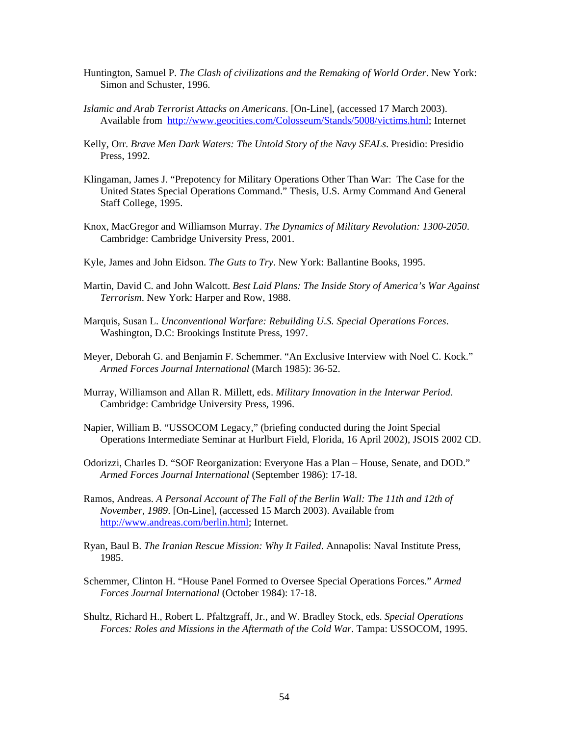- Huntington, Samuel P. *The Clash of civilizations and the Remaking of World Order*. New York: Simon and Schuster, 1996.
- *Islamic and Arab Terrorist Attacks on Americans*. [On-Line], (accessed 17 March 2003). Available from <http://www.geocities.com/Colosseum/Stands/5008/victims.html>; Internet
- Kelly, Orr. *Brave Men Dark Waters: The Untold Story of the Navy SEALs*. Presidio: Presidio Press, 1992.
- Klingaman, James J. "Prepotency for Military Operations Other Than War: The Case for the United States Special Operations Command." Thesis, U.S. Army Command And General Staff College, 1995.
- Knox, MacGregor and Williamson Murray. *The Dynamics of Military Revolution: 1300-2050*. Cambridge: Cambridge University Press, 2001.
- Kyle, James and John Eidson. *The Guts to Try*. New York: Ballantine Books, 1995.
- Martin, David C. and John Walcott. *Best Laid Plans: The Inside Story of America's War Against Terrorism*. New York: Harper and Row, 1988.
- Marquis, Susan L. *Unconventional Warfare: Rebuilding U.S. Special Operations Forces*. Washington, D.C: Brookings Institute Press, 1997.
- Meyer, Deborah G. and Benjamin F. Schemmer. "An Exclusive Interview with Noel C. Kock." *Armed Forces Journal International* (March 1985): 36-52.
- Murray, Williamson and Allan R. Millett, eds. *Military Innovation in the Interwar Period*. Cambridge: Cambridge University Press, 1996.
- Napier, William B. "USSOCOM Legacy," (briefing conducted during the Joint Special Operations Intermediate Seminar at Hurlburt Field, Florida, 16 April 2002), JSOIS 2002 CD.
- Odorizzi, Charles D. "SOF Reorganization: Everyone Has a Plan House, Senate, and DOD." *Armed Forces Journal International* (September 1986): 17-18.
- Ramos, Andreas. *A Personal Account of The Fall of the Berlin Wall: The 11th and 12th of November, 1989*. [On-Line], (accessed 15 March 2003). Available from [http://www.andreas.com/berlin.html;](http://www.andreas.com/berlin.html) Internet.
- Ryan, Baul B. *The Iranian Rescue Mission: Why It Failed*. Annapolis: Naval Institute Press, 1985.
- Schemmer, Clinton H. "House Panel Formed to Oversee Special Operations Forces." *Armed Forces Journal International* (October 1984): 17-18.
- Shultz, Richard H., Robert L. Pfaltzgraff, Jr., and W. Bradley Stock, eds. *Special Operations Forces: Roles and Missions in the Aftermath of the Cold War*. Tampa: USSOCOM, 1995.